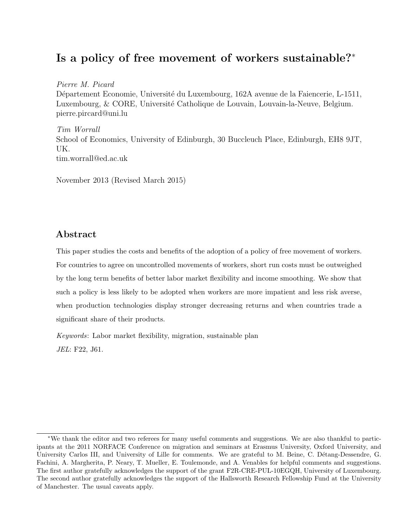# Is a policy of free movement of workers sustainable?<sup>∗</sup>

Pierre M. Picard

Département Economie, Université du Luxembourg, 162A avenue de la Faiencerie, L-1511, Luxembourg, & CORE, Université Catholique de Louvain, Louvain-la-Neuve, Belgium. pierre.pircard@uni.lu

Tim Worrall School of Economics, University of Edinburgh, 30 Buccleuch Place, Edinburgh, EH8 9JT, UK. tim.worrall@ed.ac.uk

November 2013 (Revised March 2015)

### Abstract

This paper studies the costs and benefits of the adoption of a policy of free movement of workers. For countries to agree on uncontrolled movements of workers, short run costs must be outweighed by the long term benefits of better labor market flexibility and income smoothing. We show that such a policy is less likely to be adopted when workers are more impatient and less risk averse, when production technologies display stronger decreasing returns and when countries trade a significant share of their products.

Keywords: Labor market flexibility, migration, sustainable plan JEL: F22, J61.

<sup>∗</sup>We thank the editor and two referees for many useful comments and suggestions. We are also thankful to participants at the 2011 NORFACE Conference on migration and seminars at Erasmus University, Oxford University, and University Carlos III, and University of Lille for comments. We are grateful to M. Beine, C. Détang-Dessendre, G. Fachini, A. Margherita, P. Neary, T. Mueller, E. Toulemonde, and A. Venables for helpful comments and suggestions. The first author gratefully acknowledges the support of the grant F2R-CRE-PUL-10EGQH, University of Luxembourg. The second author gratefully acknowledges the support of the Hallsworth Research Fellowship Fund at the University of Manchester. The usual caveats apply.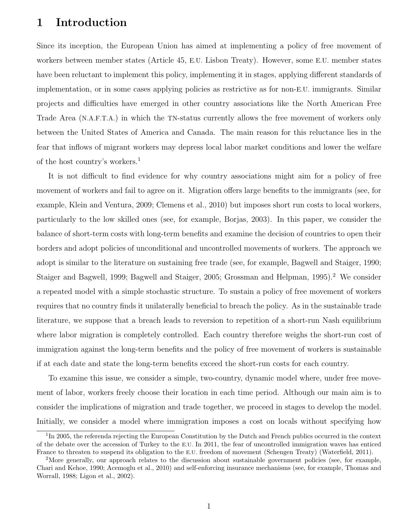# 1 Introduction

Since its inception, the European Union has aimed at implementing a policy of free movement of workers between member states (Article 45, E.U. Lisbon Treaty). However, some E.U. member states have been reluctant to implement this policy, implementing it in stages, applying different standards of implementation, or in some cases applying policies as restrictive as for non-E.U. immigrants. Similar projects and difficulties have emerged in other country associations like the North American Free Trade Area (N.A.F.T.A.) in which the TN-status currently allows the free movement of workers only between the United States of America and Canada. The main reason for this reluctance lies in the fear that inflows of migrant workers may depress local labor market conditions and lower the welfare of the host country's workers.<sup>1</sup>

It is not difficult to find evidence for why country associations might aim for a policy of free movement of workers and fail to agree on it. Migration offers large benefits to the immigrants (see, for example, Klein and Ventura, 2009; Clemens et al., 2010) but imposes short run costs to local workers, particularly to the low skilled ones (see, for example, Borjas, 2003). In this paper, we consider the balance of short-term costs with long-term benefits and examine the decision of countries to open their borders and adopt policies of unconditional and uncontrolled movements of workers. The approach we adopt is similar to the literature on sustaining free trade (see, for example, Bagwell and Staiger, 1990; Staiger and Bagwell, 1999; Bagwell and Staiger, 2005; Grossman and Helpman, 1995).<sup>2</sup> We consider a repeated model with a simple stochastic structure. To sustain a policy of free movement of workers requires that no country finds it unilaterally beneficial to breach the policy. As in the sustainable trade literature, we suppose that a breach leads to reversion to repetition of a short-run Nash equilibrium where labor migration is completely controlled. Each country therefore weighs the short-run cost of immigration against the long-term benefits and the policy of free movement of workers is sustainable if at each date and state the long-term benefits exceed the short-run costs for each country.

To examine this issue, we consider a simple, two-country, dynamic model where, under free movement of labor, workers freely choose their location in each time period. Although our main aim is to consider the implications of migration and trade together, we proceed in stages to develop the model. Initially, we consider a model where immigration imposes a cost on locals without specifying how

<sup>&</sup>lt;sup>1</sup>In 2005, the referenda rejecting the European Constitution by the Dutch and French publics occurred in the context of the debate over the accession of Turkey to the E.U. In 2011, the fear of uncontrolled immigration waves has enticed France to threaten to suspend its obligation to the E.U. freedom of movement (Schengen Treaty) (Waterfield, 2011).

<sup>&</sup>lt;sup>2</sup>More generally, our approach relates to the discussion about sustainable government policies (see, for example, Chari and Kehoe, 1990; Acemoglu et al., 2010) and self-enforcing insurance mechanisms (see, for example, Thomas and Worrall, 1988; Ligon et al., 2002).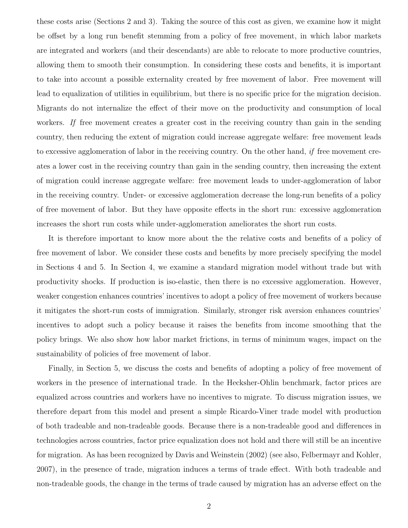these costs arise (Sections 2 and 3). Taking the source of this cost as given, we examine how it might be offset by a long run benefit stemming from a policy of free movement, in which labor markets are integrated and workers (and their descendants) are able to relocate to more productive countries, allowing them to smooth their consumption. In considering these costs and benefits, it is important to take into account a possible externality created by free movement of labor. Free movement will lead to equalization of utilities in equilibrium, but there is no specific price for the migration decision. Migrants do not internalize the effect of their move on the productivity and consumption of local workers. If free movement creates a greater cost in the receiving country than gain in the sending country, then reducing the extent of migration could increase aggregate welfare: free movement leads to excessive agglomeration of labor in the receiving country. On the other hand, if free movement creates a lower cost in the receiving country than gain in the sending country, then increasing the extent of migration could increase aggregate welfare: free movement leads to under-agglomeration of labor in the receiving country. Under- or excessive agglomeration decrease the long-run benefits of a policy of free movement of labor. But they have opposite effects in the short run: excessive agglomeration increases the short run costs while under-agglomeration ameliorates the short run costs.

It is therefore important to know more about the the relative costs and benefits of a policy of free movement of labor. We consider these costs and benefits by more precisely specifying the model in Sections 4 and 5. In Section 4, we examine a standard migration model without trade but with productivity shocks. If production is iso-elastic, then there is no excessive agglomeration. However, weaker congestion enhances countries' incentives to adopt a policy of free movement of workers because it mitigates the short-run costs of immigration. Similarly, stronger risk aversion enhances countries' incentives to adopt such a policy because it raises the benefits from income smoothing that the policy brings. We also show how labor market frictions, in terms of minimum wages, impact on the sustainability of policies of free movement of labor.

Finally, in Section 5, we discuss the costs and benefits of adopting a policy of free movement of workers in the presence of international trade. In the Hecksher-Ohlin benchmark, factor prices are equalized across countries and workers have no incentives to migrate. To discuss migration issues, we therefore depart from this model and present a simple Ricardo-Viner trade model with production of both tradeable and non-tradeable goods. Because there is a non-tradeable good and differences in technologies across countries, factor price equalization does not hold and there will still be an incentive for migration. As has been recognized by Davis and Weinstein (2002) (see also, Felbermayr and Kohler, 2007), in the presence of trade, migration induces a terms of trade effect. With both tradeable and non-tradeable goods, the change in the terms of trade caused by migration has an adverse effect on the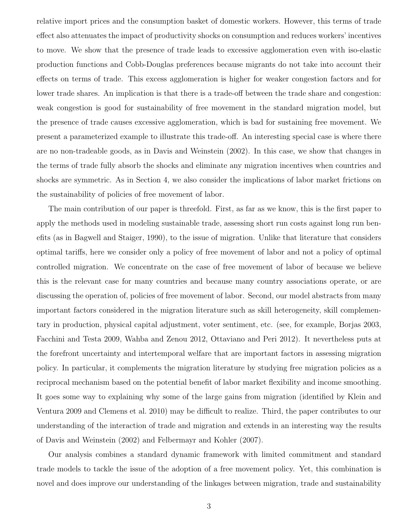relative import prices and the consumption basket of domestic workers. However, this terms of trade effect also attenuates the impact of productivity shocks on consumption and reduces workers' incentives to move. We show that the presence of trade leads to excessive agglomeration even with iso-elastic production functions and Cobb-Douglas preferences because migrants do not take into account their effects on terms of trade. This excess agglomeration is higher for weaker congestion factors and for lower trade shares. An implication is that there is a trade-off between the trade share and congestion: weak congestion is good for sustainability of free movement in the standard migration model, but the presence of trade causes excessive agglomeration, which is bad for sustaining free movement. We present a parameterized example to illustrate this trade-off. An interesting special case is where there are no non-tradeable goods, as in Davis and Weinstein (2002). In this case, we show that changes in the terms of trade fully absorb the shocks and eliminate any migration incentives when countries and shocks are symmetric. As in Section 4, we also consider the implications of labor market frictions on the sustainability of policies of free movement of labor.

The main contribution of our paper is threefold. First, as far as we know, this is the first paper to apply the methods used in modeling sustainable trade, assessing short run costs against long run benefits (as in Bagwell and Staiger, 1990), to the issue of migration. Unlike that literature that considers optimal tariffs, here we consider only a policy of free movement of labor and not a policy of optimal controlled migration. We concentrate on the case of free movement of labor of because we believe this is the relevant case for many countries and because many country associations operate, or are discussing the operation of, policies of free movement of labor. Second, our model abstracts from many important factors considered in the migration literature such as skill heterogeneity, skill complementary in production, physical capital adjustment, voter sentiment, etc. (see, for example, Borjas 2003, Facchini and Testa 2009, Wahba and Zenou 2012, Ottaviano and Peri 2012). It nevertheless puts at the forefront uncertainty and intertemporal welfare that are important factors in assessing migration policy. In particular, it complements the migration literature by studying free migration policies as a reciprocal mechanism based on the potential benefit of labor market flexibility and income smoothing. It goes some way to explaining why some of the large gains from migration (identified by Klein and Ventura 2009 and Clemens et al. 2010) may be difficult to realize. Third, the paper contributes to our understanding of the interaction of trade and migration and extends in an interesting way the results of Davis and Weinstein (2002) and Felbermayr and Kohler (2007).

Our analysis combines a standard dynamic framework with limited commitment and standard trade models to tackle the issue of the adoption of a free movement policy. Yet, this combination is novel and does improve our understanding of the linkages between migration, trade and sustainability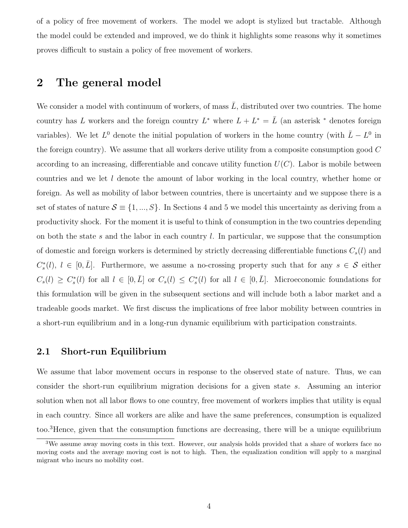of a policy of free movement of workers. The model we adopt is stylized but tractable. Although the model could be extended and improved, we do think it highlights some reasons why it sometimes proves difficult to sustain a policy of free movement of workers.

## 2 The general model

We consider a model with continuum of workers, of mass  $L$ , distributed over two countries. The home country has L workers and the foreign country  $L^*$  where  $L + L^* = \overline{L}$  (an asterisk \* denotes foreign variables). We let  $L^0$  denote the initial population of workers in the home country (with  $\bar{L}-L^0$  in the foreign country). We assume that all workers derive utility from a composite consumption good C according to an increasing, differentiable and concave utility function  $U(C)$ . Labor is mobile between countries and we let  $l$  denote the amount of labor working in the local country, whether home or foreign. As well as mobility of labor between countries, there is uncertainty and we suppose there is a set of states of nature  $S \equiv \{1, ..., S\}$ . In Sections 4 and 5 we model this uncertainty as deriving from a productivity shock. For the moment it is useful to think of consumption in the two countries depending on both the state s and the labor in each country l. In particular, we suppose that the consumption of domestic and foreign workers is determined by strictly decreasing differentiable functions  $C_s(l)$  and  $C_s^*(l), l \in [0, \bar{L}]$ . Furthermore, we assume a no-crossing property such that for any  $s \in \mathcal{S}$  either  $C_s(l) \geq C_s^*(l)$  for all  $l \in [0,\bar{L}]$  or  $C_s(l) \leq C_s^*(l)$  for all  $l \in [0,\bar{L}]$ . Microeconomic foundations for this formulation will be given in the subsequent sections and will include both a labor market and a tradeable goods market. We first discuss the implications of free labor mobility between countries in a short-run equilibrium and in a long-run dynamic equilibrium with participation constraints.

#### 2.1 Short-run Equilibrium

We assume that labor movement occurs in response to the observed state of nature. Thus, we can consider the short-run equilibrium migration decisions for a given state s. Assuming an interior solution when not all labor flows to one country, free movement of workers implies that utility is equal in each country. Since all workers are alike and have the same preferences, consumption is equalized too.<sup>3</sup>Hence, given that the consumption functions are decreasing, there will be a unique equilibrium

<sup>3</sup>We assume away moving costs in this text. However, our analysis holds provided that a share of workers face no moving costs and the average moving cost is not to high. Then, the equalization condition will apply to a marginal migrant who incurs no mobility cost.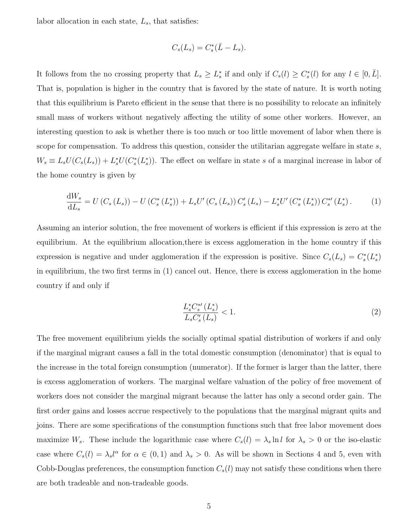labor allocation in each state,  $L_s$ , that satisfies:

$$
C_s(L_s) = C_s^*(\bar{L} - L_s).
$$

It follows from the no crossing property that  $L_s \geq L_s^*$  if and only if  $C_s(l) \geq C_s^*(l)$  for any  $l \in [0, \bar{L}]$ . That is, population is higher in the country that is favored by the state of nature. It is worth noting that this equilibrium is Pareto efficient in the sense that there is no possibility to relocate an infinitely small mass of workers without negatively affecting the utility of some other workers. However, an interesting question to ask is whether there is too much or too little movement of labor when there is scope for compensation. To address this question, consider the utilitarian aggregate welfare in state s,  $W_s \equiv L_s U(C_s(L_s)) + L_s^* U(C_s^*(L_s^*))$ . The effect on welfare in state s of a marginal increase in labor of the home country is given by

$$
\frac{dW_s}{dL_s} = U(C_s(L_s)) - U(C_s^*(L_s^*)) + L_sU'(C_s(L_s))C_s'(L_s) - L_s^*U'(C_s^*(L_s^*))C_s^{*'}(L_s^*)
$$
\n(1)

Assuming an interior solution, the free movement of workers is efficient if this expression is zero at the equilibrium. At the equilibrium allocation,there is excess agglomeration in the home country if this expression is negative and under agglomeration if the expression is positive. Since  $C_s(L_s) = C_s^*(L_s^*)$ in equilibrium, the two first terms in (1) cancel out. Hence, there is excess agglomeration in the home country if and only if

$$
\frac{L_s^* C_s^{*\prime} \left( L_s^* \right)}{L_s C_s^{\prime} \left( L_s \right)} < 1. \tag{2}
$$

The free movement equilibrium yields the socially optimal spatial distribution of workers if and only if the marginal migrant causes a fall in the total domestic consumption (denominator) that is equal to the increase in the total foreign consumption (numerator). If the former is larger than the latter, there is excess agglomeration of workers. The marginal welfare valuation of the policy of free movement of workers does not consider the marginal migrant because the latter has only a second order gain. The first order gains and losses accrue respectively to the populations that the marginal migrant quits and joins. There are some specifications of the consumption functions such that free labor movement does maximize W<sub>s</sub>. These include the logarithmic case where  $C_s(l) = \lambda_s \ln l$  for  $\lambda_s > 0$  or the iso-elastic case where  $C_s(l) = \lambda_s l^{\alpha}$  for  $\alpha \in (0,1)$  and  $\lambda_s > 0$ . As will be shown in Sections 4 and 5, even with Cobb-Douglas preferences, the consumption function  $C_s(l)$  may not satisfy these conditions when there are both tradeable and non-tradeable goods.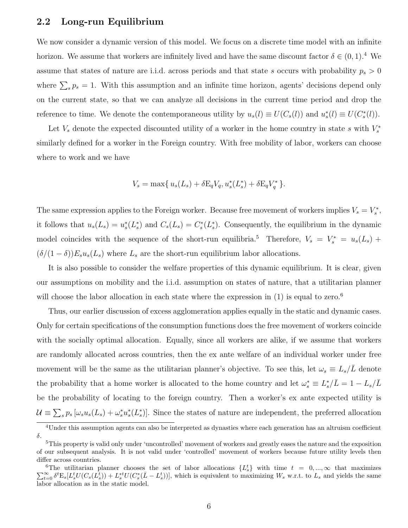### 2.2 Long-run Equilibrium

We now consider a dynamic version of this model. We focus on a discrete time model with an infinite horizon. We assume that workers are infinitely lived and have the same discount factor  $\delta \in (0,1)$ .<sup>4</sup> We assume that states of nature are i.i.d. across periods and that state s occurs with probability  $p_s > 0$ where  $\sum_{s} p_s = 1$ . With this assumption and an infinite time horizon, agents' decisions depend only on the current state, so that we can analyze all decisions in the current time period and drop the reference to time. We denote the contemporaneous utility by  $u_s(l) \equiv U(C_s(l))$  and  $u_s^*(l) \equiv U(C_s^*(l))$ .

Let  $V_s$  denote the expected discounted utility of a worker in the home country in state s with  $V_s^*$ similarly defined for a worker in the Foreign country. With free mobility of labor, workers can choose where to work and we have

$$
V_s = \max\{u_s(L_s) + \delta \mathcal{E}_q V_q, u_s^*(L_s^*) + \delta \mathcal{E}_q V_q^*\}.
$$

The same expression applies to the Foreign worker. Because free movement of workers implies  $V_s = V_s^*$ , it follows that  $u_s(L_s) = u_s^*(L_s)$  and  $C_s(L_s) = C_s^*(L_s)$ . Consequently, the equilibrium in the dynamic model coincides with the sequence of the short-run equilibria.<sup>5</sup> Therefore,  $V_s = V_s^* = u_s(L_s) +$  $(\delta/(1-\delta))E_su_s(L_s)$  where  $L_s$  are the short-run equilibrium labor allocations.

It is also possible to consider the welfare properties of this dynamic equilibrium. It is clear, given our assumptions on mobility and the i.i.d. assumption on states of nature, that a utilitarian planner will choose the labor allocation in each state where the expression in  $(1)$  is equal to zero.<sup>6</sup>

Thus, our earlier discussion of excess agglomeration applies equally in the static and dynamic cases. Only for certain specifications of the consumption functions does the free movement of workers coincide with the socially optimal allocation. Equally, since all workers are alike, if we assume that workers are randomly allocated across countries, then the ex ante welfare of an individual worker under free movement will be the same as the utilitarian planner's objective. To see this, let  $\omega_s \equiv L_s/\bar{L}$  denote the probability that a home worker is allocated to the home country and let  $\omega_s^* \equiv L_s^* / \bar{L} = 1 - L_s / \bar{L}$ be the probability of locating to the foreign country. Then a worker's ex ante expected utility is  $\mathcal{U} \equiv \sum_s p_s [\omega_s u_s(L_s) + \omega_s^* u_s^*(L_s^*)]$ . Since the states of nature are independent, the preferred allocation

<sup>4</sup>Under this assumption agents can also be interpreted as dynasties where each generation has an altruism coefficient δ.

<sup>&</sup>lt;sup>5</sup>This property is valid only under 'uncontrolled' movement of workers and greatly eases the nature and the exposition of our subsequent analysis. It is not valid under 'controlled' movement of workers because future utility levels then differ across countries.

<sup>&</sup>lt;sup>6</sup>The utilitarian planner chooses the set of labor allocations  $\{L_s^t\}$ <sup>6</sup>The utilitarian planner chooses the set of labor allocations  $\{L_s^t\}$  with time  $t = 0, ..., \infty$  that maximizes  $\sum_{t=0}^{\infty} \delta^t \mathcal{E}_s[L_s^t U(C_s(L_s^t)) + L_s^{*t} U(C_s^*(\bar{L} - L_s^t))]$ , which is equivalent to maximizing  $W_s$  w.r.t. t labor allocation as in the static model.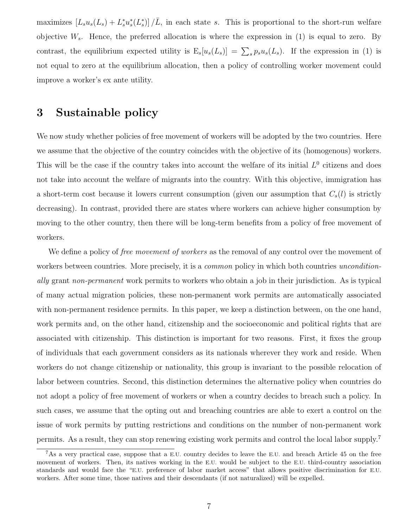maximizes  $[L_s u_s(L_s) + L_s^* u_s^* (L_s^*)] / \bar{L}$ , in each state s. This is proportional to the short-run welfare objective  $W_s$ . Hence, the preferred allocation is where the expression in (1) is equal to zero. By contrast, the equilibrium expected utility is  $E_s[u_s(L_s)] = \sum_s p_s u_s(L_s)$ . If the expression in (1) is not equal to zero at the equilibrium allocation, then a policy of controlling worker movement could improve a worker's ex ante utility.

## 3 Sustainable policy

We now study whether policies of free movement of workers will be adopted by the two countries. Here we assume that the objective of the country coincides with the objective of its (homogenous) workers. This will be the case if the country takes into account the welfare of its initial  $L^0$  citizens and does not take into account the welfare of migrants into the country. With this objective, immigration has a short-term cost because it lowers current consumption (given our assumption that  $C_s(l)$  is strictly decreasing). In contrast, provided there are states where workers can achieve higher consumption by moving to the other country, then there will be long-term benefits from a policy of free movement of workers.

We define a policy of *free movement of workers* as the removal of any control over the movement of workers between countries. More precisely, it is a *common* policy in which both countries unconditionally grant non-permanent work permits to workers who obtain a job in their jurisdiction. As is typical of many actual migration policies, these non-permanent work permits are automatically associated with non-permanent residence permits. In this paper, we keep a distinction between, on the one hand, work permits and, on the other hand, citizenship and the socioeconomic and political rights that are associated with citizenship. This distinction is important for two reasons. First, it fixes the group of individuals that each government considers as its nationals wherever they work and reside. When workers do not change citizenship or nationality, this group is invariant to the possible relocation of labor between countries. Second, this distinction determines the alternative policy when countries do not adopt a policy of free movement of workers or when a country decides to breach such a policy. In such cases, we assume that the opting out and breaching countries are able to exert a control on the issue of work permits by putting restrictions and conditions on the number of non-permanent work permits. As a result, they can stop renewing existing work permits and control the local labor supply.<sup>7</sup>

 ${}^{7}$ As a very practical case, suppose that a E.U. country decides to leave the E.U. and breach Article 45 on the free movement of workers. Then, its natives working in the E.U. would be subject to the E.U. third-country association standards and would face the "E.U. preference of labor market access" that allows positive discrimination for E.U. workers. After some time, those natives and their descendants (if not naturalized) will be expelled.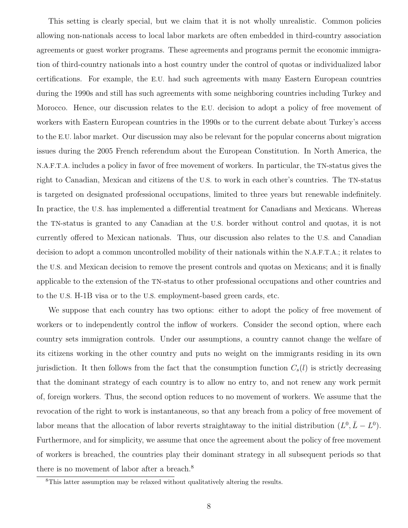This setting is clearly special, but we claim that it is not wholly unrealistic. Common policies allowing non-nationals access to local labor markets are often embedded in third-country association agreements or guest worker programs. These agreements and programs permit the economic immigration of third-country nationals into a host country under the control of quotas or individualized labor certifications. For example, the E.U. had such agreements with many Eastern European countries during the 1990s and still has such agreements with some neighboring countries including Turkey and Morocco. Hence, our discussion relates to the E.U. decision to adopt a policy of free movement of workers with Eastern European countries in the 1990s or to the current debate about Turkey's access to the E.U. labor market. Our discussion may also be relevant for the popular concerns about migration issues during the 2005 French referendum about the European Constitution. In North America, the N.A.F.T.A. includes a policy in favor of free movement of workers. In particular, the TN-status gives the right to Canadian, Mexican and citizens of the U.S. to work in each other's countries. The TN-status is targeted on designated professional occupations, limited to three years but renewable indefinitely. In practice, the U.S. has implemented a differential treatment for Canadians and Mexicans. Whereas the TN-status is granted to any Canadian at the U.S. border without control and quotas, it is not currently offered to Mexican nationals. Thus, our discussion also relates to the U.S. and Canadian decision to adopt a common uncontrolled mobility of their nationals within the N.A.F.T.A.; it relates to the U.S. and Mexican decision to remove the present controls and quotas on Mexicans; and it is finally applicable to the extension of the TN-status to other professional occupations and other countries and to the U.S. H-1B visa or to the U.S. employment-based green cards, etc.

We suppose that each country has two options: either to adopt the policy of free movement of workers or to independently control the inflow of workers. Consider the second option, where each country sets immigration controls. Under our assumptions, a country cannot change the welfare of its citizens working in the other country and puts no weight on the immigrants residing in its own jurisdiction. It then follows from the fact that the consumption function  $C_s(l)$  is strictly decreasing that the dominant strategy of each country is to allow no entry to, and not renew any work permit of, foreign workers. Thus, the second option reduces to no movement of workers. We assume that the revocation of the right to work is instantaneous, so that any breach from a policy of free movement of labor means that the allocation of labor reverts straightaway to the initial distribution  $(L^0, \bar{L} - L^0)$ . Furthermore, and for simplicity, we assume that once the agreement about the policy of free movement of workers is breached, the countries play their dominant strategy in all subsequent periods so that there is no movement of labor after a breach.<sup>8</sup>

<sup>8</sup>This latter assumption may be relaxed without qualitatively altering the results.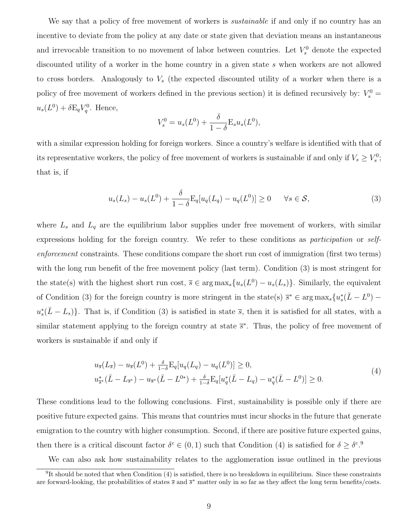We say that a policy of free movement of workers is *sustainable* if and only if no country has an incentive to deviate from the policy at any date or state given that deviation means an instantaneous and irrevocable transition to no movement of labor between countries. Let  $V_s^0$  denote the expected discounted utility of a worker in the home country in a given state s when workers are not allowed to cross borders. Analogously to  $V_s$  (the expected discounted utility of a worker when there is a policy of free movement of workers defined in the previous section) it is defined recursively by:  $V_s^0$  =  $u_s(L^0) + \delta E_q V_q^0$ . Hence,

$$
V_s^0 = u_s(L^0) + \frac{\delta}{1 - \delta} \mathcal{E}_s u_s(L^0),
$$

with a similar expression holding for foreign workers. Since a country's welfare is identified with that of its representative workers, the policy of free movement of workers is sustainable if and only if  $V_s \geq V_s^0$ ; that is, if

$$
u_s(L_s) - u_s(L^0) + \frac{\delta}{1-\delta} \mathcal{E}_q[u_q(L_q) - u_q(L^0)] \ge 0 \quad \forall s \in \mathcal{S},\tag{3}
$$

where  $L_s$  and  $L_q$  are the equilibrium labor supplies under free movement of workers, with similar expressions holding for the foreign country. We refer to these conditions as participation or selfenforcement constraints. These conditions compare the short run cost of immigration (first two terms) with the long run benefit of the free movement policy (last term). Condition (3) is most stringent for the state(s) with the highest short run cost,  $\overline{s} \in \arg \max_s \{u_s(L^0) - u_s(L_s)\}\.$  Similarly, the equivalent of Condition (3) for the foreign country is more stringent in the state(s)  $\bar{s}^* \in \arg \max_s \{u_s^*(\bar{L} - L^0)$  $u_s^*(\bar{L} - L_s)$ . That is, if Condition (3) is satisfied in state  $\bar{s}$ , then it is satisfied for all states, with a similar statement applying to the foreign country at state  $\bar{s}^*$ . Thus, the policy of free movement of workers is sustainable if and only if

$$
u_{\overline{s}}(L_{\overline{s}}) - u_{\overline{s}}(L^0) + \frac{\delta}{1-\delta} \mathcal{E}_q[u_q(L_q) - u_q(L^0)] \ge 0,
$$
  

$$
u_{\overline{s}}^*(\overline{L} - L_{\overline{s}}^*) - u_{\overline{s}}^*(\overline{L} - L^{0*}) + \frac{\delta}{1-\delta} \mathcal{E}_q[u_q^*(\overline{L} - L_q) - u_q^*(\overline{L} - L^0)] \ge 0.
$$
 (4)

These conditions lead to the following conclusions. First, sustainability is possible only if there are positive future expected gains. This means that countries must incur shocks in the future that generate emigration to the country with higher consumption. Second, if there are positive future expected gains, then there is a critical discount factor  $\delta^c \in (0,1)$  such that Condition (4) is satisfied for  $\delta \geq \delta^{c}$ .

We can also ask how sustainability relates to the agglomeration issue outlined in the previous

<sup>&</sup>lt;sup>9</sup>It should be noted that when Condition (4) is satisfied, there is no breakdown in equilibrium. Since these constraints are forward-looking, the probabilities of states  $\bar{s}$  and  $\bar{s}^*$  matter only in so far as they affect the long term benefits/costs.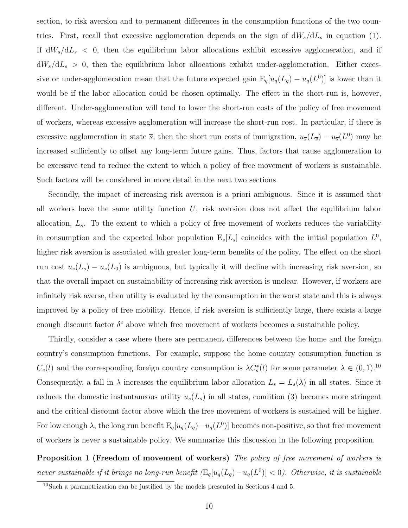section, to risk aversion and to permanent differences in the consumption functions of the two countries. First, recall that excessive agglomeration depends on the sign of  $dW_s/dL_s$  in equation (1). If  $\frac{dW_s}{dt_s} < 0$ , then the equilibrium labor allocations exhibit excessive agglomeration, and if  $\frac{dW_s}{dL_s} > 0$ , then the equilibrium labor allocations exhibit under-agglomeration. Either excessive or under-agglomeration mean that the future expected gain  $E_q[u_q(L_q) - u_q(L^0)]$  is lower than it would be if the labor allocation could be chosen optimally. The effect in the short-run is, however, different. Under-agglomeration will tend to lower the short-run costs of the policy of free movement of workers, whereas excessive agglomeration will increase the short-run cost. In particular, if there is excessive agglomeration in state  $\bar{s}$ , then the short run costs of immigration,  $u_{\bar{s}}(L_{\bar{s}}) - u_{\bar{s}}(L^0)$  may be increased sufficiently to offset any long-term future gains. Thus, factors that cause agglomeration to be excessive tend to reduce the extent to which a policy of free movement of workers is sustainable. Such factors will be considered in more detail in the next two sections.

Secondly, the impact of increasing risk aversion is a priori ambiguous. Since it is assumed that all workers have the same utility function  $U$ , risk aversion does not affect the equilibrium labor allocation,  $L_s$ . To the extent to which a policy of free movement of workers reduces the variability in consumption and the expected labor population  $E_s[L_s]$  coincides with the initial population  $L^0$ , higher risk aversion is associated with greater long-term benefits of the policy. The effect on the short run cost  $u_s(L_s) - u_s(L_0)$  is ambiguous, but typically it will decline with increasing risk aversion, so that the overall impact on sustainability of increasing risk aversion is unclear. However, if workers are infinitely risk averse, then utility is evaluated by the consumption in the worst state and this is always improved by a policy of free mobility. Hence, if risk aversion is sufficiently large, there exists a large enough discount factor  $\delta^c$  above which free movement of workers becomes a sustainable policy.

Thirdly, consider a case where there are permanent differences between the home and the foreign country's consumption functions. For example, suppose the home country consumption function is  $C_s(l)$  and the corresponding foreign country consumption is  $\lambda C_s^*(l)$  for some parameter  $\lambda \in (0,1).^{10}$ Consequently, a fall in  $\lambda$  increases the equilibrium labor allocation  $L_s = L_s(\lambda)$  in all states. Since it reduces the domestic instantaneous utility  $u_s(L_s)$  in all states, condition (3) becomes more stringent and the critical discount factor above which the free movement of workers is sustained will be higher. For low enough  $\lambda$ , the long run benefit  $E_q[u_q(L_q)-u_q(L^0)]$  becomes non-positive, so that free movement of workers is never a sustainable policy. We summarize this discussion in the following proposition.

Proposition 1 (Freedom of movement of workers) The policy of free movement of workers is never sustainable if it brings no long-run benefit  $(E_q[u_q(L_q) - u_q(L^0)] < 0$ ). Otherwise, it is sustainable

 $10S$ uch a parametrization can be justified by the models presented in Sections 4 and 5.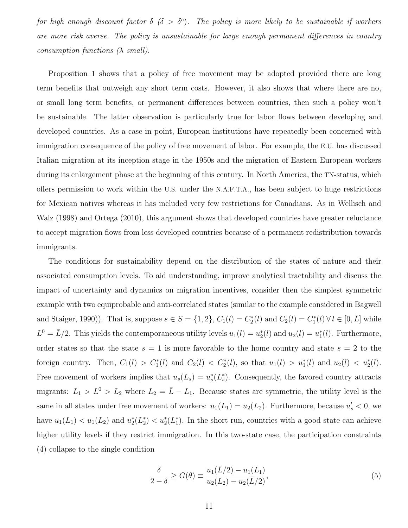for high enough discount factor  $\delta$  ( $\delta > \delta^c$ ). The policy is more likely to be sustainable if workers are more risk averse. The policy is unsustainable for large enough permanent differences in country consumption functions  $(\lambda \text{ small})$ .

Proposition 1 shows that a policy of free movement may be adopted provided there are long term benefits that outweigh any short term costs. However, it also shows that where there are no, or small long term benefits, or permanent differences between countries, then such a policy won't be sustainable. The latter observation is particularly true for labor flows between developing and developed countries. As a case in point, European institutions have repeatedly been concerned with immigration consequence of the policy of free movement of labor. For example, the E.U. has discussed Italian migration at its inception stage in the 1950s and the migration of Eastern European workers during its enlargement phase at the beginning of this century. In North America, the TN-status, which offers permission to work within the U.S. under the N.A.F.T.A., has been subject to huge restrictions for Mexican natives whereas it has included very few restrictions for Canadians. As in Wellisch and Walz (1998) and Ortega (2010), this argument shows that developed countries have greater reluctance to accept migration flows from less developed countries because of a permanent redistribution towards immigrants.

The conditions for sustainability depend on the distribution of the states of nature and their associated consumption levels. To aid understanding, improve analytical tractability and discuss the impact of uncertainty and dynamics on migration incentives, consider then the simplest symmetric example with two equiprobable and anti-correlated states (similar to the example considered in Bagwell and Staiger, 1990)). That is, suppose  $s \in S = \{1, 2\}$ ,  $C_1(l) = C_2^*(l)$  and  $C_2(l) = C_1^*(l) \,\forall l \in [0, \bar{L}]$  while  $L^0 = \bar{L}/2$ . This yields the contemporaneous utility levels  $u_1(l) = u_2^*(l)$  and  $u_2(l) = u_1^*(l)$ . Furthermore, order states so that the state  $s = 1$  is more favorable to the home country and state  $s = 2$  to the foreign country. Then,  $C_1(l) > C_1^*(l)$  and  $C_2(l) < C_2^*(l)$ , so that  $u_1(l) > u_1^*(l)$  and  $u_2(l) < u_2^*(l)$ . Free movement of workers implies that  $u_s(L_s) = u_s^*(L_s^*)$ . Consequently, the favored country attracts migrants:  $L_1 > L^0 > L_2$  where  $L_2 = \bar{L} - L_1$ . Because states are symmetric, the utility level is the same in all states under free movement of workers:  $u_1(L_1) = u_2(L_2)$ . Furthermore, because  $u_s' < 0$ , we have  $u_1(L_1) < u_1(L_2)$  and  $u_2^*(L_2^*) < u_2^*(L_1^*)$ . In the short run, countries with a good state can achieve higher utility levels if they restrict immigration. In this two-state case, the participation constraints (4) collapse to the single condition

$$
\frac{\delta}{2-\delta} \ge G(\theta) \equiv \frac{u_1(\bar{L}/2) - u_1(L_1)}{u_2(L_2) - u_2(\bar{L}/2)},\tag{5}
$$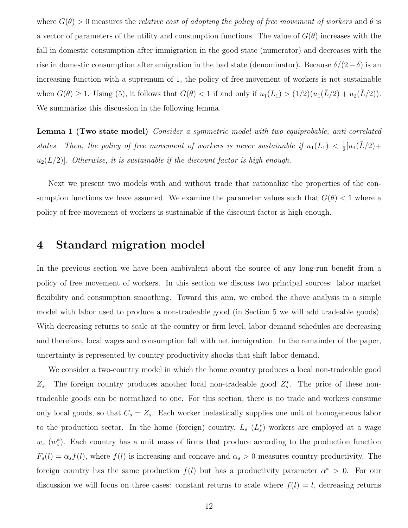where  $G(\theta) > 0$  measures the *relative cost of adopting the policy of free movement of workers* and  $\theta$  is a vector of parameters of the utility and consumption functions. The value of  $G(\theta)$  increases with the fall in domestic consumption after immigration in the good state (numerator) and decreases with the rise in domestic consumption after emigration in the bad state (denominator). Because  $\delta/(2-\delta)$  is an increasing function with a supremum of 1, the policy of free movement of workers is not sustainable when  $G(\theta) \geq 1$ . Using (5), it follows that  $G(\theta) < 1$  if and only if  $u_1(L_1) > (1/2)(u_1(\overline{L}/2) + u_2(\overline{L}/2))$ . We summarize this discussion in the following lemma.

Lemma 1 (Two state model) Consider a symmetric model with two equiprobable, anti-correlated states. Then, the policy of free movement of workers is never sustainable if  $u_1(L_1) < \frac{1}{2}$  $\frac{1}{2}[u_1(\bar{L}/2)+$  $u_2(L/2)$ . Otherwise, it is sustainable if the discount factor is high enough.

Next we present two models with and without trade that rationalize the properties of the consumption functions we have assumed. We examine the parameter values such that  $G(\theta) < 1$  where a policy of free movement of workers is sustainable if the discount factor is high enough.

## 4 Standard migration model

In the previous section we have been ambivalent about the source of any long-run benefit from a policy of free movement of workers. In this section we discuss two principal sources: labor market flexibility and consumption smoothing. Toward this aim, we embed the above analysis in a simple model with labor used to produce a non-tradeable good (in Section 5 we will add tradeable goods). With decreasing returns to scale at the country or firm level, labor demand schedules are decreasing and therefore, local wages and consumption fall with net immigration. In the remainder of the paper, uncertainty is represented by country productivity shocks that shift labor demand.

We consider a two-country model in which the home country produces a local non-tradeable good  $Z_s$ . The foreign country produces another local non-tradeable good  $Z_s^*$ . The price of these nontradeable goods can be normalized to one. For this section, there is no trade and workers consume only local goods, so that  $C_s = Z_s$ . Each worker inelastically supplies one unit of homogeneous labor to the production sector. In the home (foreign) country,  $L_s(L_s^*)$  workers are employed at a wage  $w_s(w_s^*)$ . Each country has a unit mass of firms that produce according to the production function  $F_s(l) = \alpha_s f(l)$ , where  $f(l)$  is increasing and concave and  $\alpha_s > 0$  measures country productivity. The foreign country has the same production  $f(l)$  but has a productivity parameter  $\alpha^* > 0$ . For our discussion we will focus on three cases: constant returns to scale where  $f(l) = l$ , decreasing returns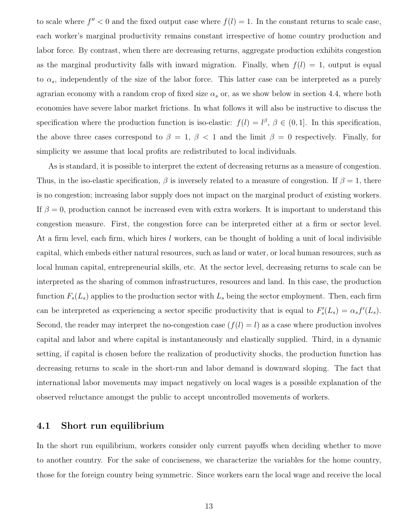to scale where  $f'' < 0$  and the fixed output case where  $f(l) = 1$ . In the constant returns to scale case, each worker's marginal productivity remains constant irrespective of home country production and labor force. By contrast, when there are decreasing returns, aggregate production exhibits congestion as the marginal productivity falls with inward migration. Finally, when  $f(l) = 1$ , output is equal to  $\alpha_s$ , independently of the size of the labor force. This latter case can be interpreted as a purely agrarian economy with a random crop of fixed size  $\alpha_s$  or, as we show below in section 4.4, where both economies have severe labor market frictions. In what follows it will also be instructive to discuss the specification where the production function is iso-elastic:  $f(l) = l^{\beta}, \beta \in (0, 1]$ . In this specification, the above three cases correspond to  $\beta = 1, \beta < 1$  and the limit  $\beta = 0$  respectively. Finally, for simplicity we assume that local profits are redistributed to local individuals.

As is standard, it is possible to interpret the extent of decreasing returns as a measure of congestion. Thus, in the iso-elastic specification,  $\beta$  is inversely related to a measure of congestion. If  $\beta = 1$ , there is no congestion; increasing labor supply does not impact on the marginal product of existing workers. If  $\beta = 0$ , production cannot be increased even with extra workers. It is important to understand this congestion measure. First, the congestion force can be interpreted either at a firm or sector level. At a firm level, each firm, which hires l workers, can be thought of holding a unit of local indivisible capital, which embeds either natural resources, such as land or water, or local human resources, such as local human capital, entrepreneurial skills, etc. At the sector level, decreasing returns to scale can be interpreted as the sharing of common infrastructures, resources and land. In this case, the production function  $F_s(L_s)$  applies to the production sector with  $L_s$  being the sector employment. Then, each firm can be interpreted as experiencing a sector specific productivity that is equal to  $F_s'(L_s) = \alpha_s f'(L_s)$ . Second, the reader may interpret the no-congestion case  $(f(l) = l)$  as a case where production involves capital and labor and where capital is instantaneously and elastically supplied. Third, in a dynamic setting, if capital is chosen before the realization of productivity shocks, the production function has decreasing returns to scale in the short-run and labor demand is downward sloping. The fact that international labor movements may impact negatively on local wages is a possible explanation of the observed reluctance amongst the public to accept uncontrolled movements of workers.

#### 4.1 Short run equilibrium

In the short run equilibrium, workers consider only current payoffs when deciding whether to move to another country. For the sake of conciseness, we characterize the variables for the home country, those for the foreign country being symmetric. Since workers earn the local wage and receive the local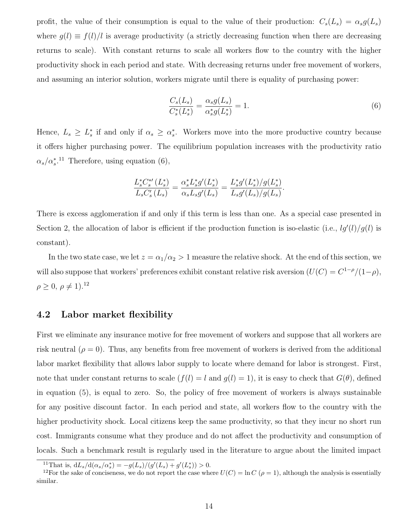profit, the value of their consumption is equal to the value of their production:  $C_s(L_s) = \alpha_s g(L_s)$ where  $g(l) \equiv f(l)/l$  is average productivity (a strictly decreasing function when there are decreasing returns to scale). With constant returns to scale all workers flow to the country with the higher productivity shock in each period and state. With decreasing returns under free movement of workers, and assuming an interior solution, workers migrate until there is equality of purchasing power:

$$
\frac{C_s(L_s)}{C_s^*(L_s^*)} = \frac{\alpha_s g(L_s)}{\alpha_s^* g(L_s^*)} = 1.
$$
\n<sup>(6)</sup>

Hence,  $L_s \geq L_s^*$  if and only if  $\alpha_s \geq \alpha_s^*$ . Workers move into the more productive country because it offers higher purchasing power. The equilibrium population increases with the productivity ratio  $\alpha_s/\alpha_s^{*}.$ <sup>11</sup> Therefore, using equation (6),

$$
\frac{L_s^* C_s^{*\prime} \left( L_s^* \right)}{L_s C_s^{\prime} \left( L_s \right)} = \frac{\alpha_s^* L_s^* g^{\prime} \left( L_s^* \right)}{\alpha_s L_s g^{\prime} \left( L_s \right)} = \frac{L_s^* g^{\prime} \left( L_s^* \right) / g \left( L_s^* \right)}{L_s g^{\prime} \left( L_s \right) / g \left( L_s \right)}.
$$

There is excess agglomeration if and only if this term is less than one. As a special case presented in Section 2, the allocation of labor is efficient if the production function is iso-elastic (i.e.,  $lg'(l)/g(l)$  is constant).

In the two state case, we let  $z = \alpha_1/\alpha_2 > 1$  measure the relative shock. At the end of this section, we will also suppose that workers' preferences exhibit constant relative risk aversion  $(U(C) = C^{1-\rho}/(1-\rho),$  $\rho \geq 0, \, \rho \neq 1$ ).<sup>12</sup>

#### 4.2 Labor market flexibility

First we eliminate any insurance motive for free movement of workers and suppose that all workers are risk neutral ( $\rho = 0$ ). Thus, any benefits from free movement of workers is derived from the additional labor market flexibility that allows labor supply to locate where demand for labor is strongest. First, note that under constant returns to scale  $(f(l) = l \text{ and } g(l) = 1)$ , it is easy to check that  $G(\theta)$ , defined in equation (5), is equal to zero. So, the policy of free movement of workers is always sustainable for any positive discount factor. In each period and state, all workers flow to the country with the higher productivity shock. Local citizens keep the same productivity, so that they incur no short run cost. Immigrants consume what they produce and do not affect the productivity and consumption of locals. Such a benchmark result is regularly used in the literature to argue about the limited impact

<sup>&</sup>lt;sup>11</sup>That is,  $dL_s/d(\alpha_s/\alpha_s^*) = -g(L_s)/(g'(L_s) + g'(L_s^*)) > 0.$ 

<sup>&</sup>lt;sup>12</sup>For the sake of conciseness, we do not report the case where  $U(C) = \ln C (\rho = 1)$ , although the analysis is essentially similar.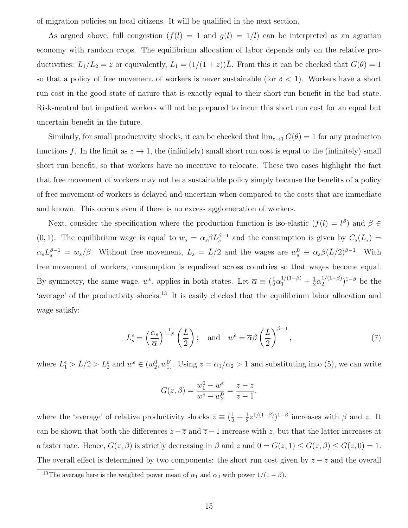of migration policies on local citizens. It will be qualified in the next section.

As argued above, full congestion  $(f(l) = 1$  and  $g(l) = 1/l$  can be interpreted as an agrarian economy with random crops. The equilibrium allocation of labor depends only on the relative productivities:  $L_1/L_2 = z$  or equivalently,  $L_1 = (1/(1+z))\overline{L}$ . From this it can be checked that  $G(\theta) = 1$ so that a policy of free movement of workers is never sustainable (for  $\delta < 1$ ). Workers have a short run cost in the good state of nature that is exactly equal to their short run benefit in the bad state. Risk-neutral but impatient workers will not be prepared to incur this short run cost for an equal but uncertain benefit in the future.

Similarly, for small productivity shocks, it can be checked that  $\lim_{z\to 1} G(\theta) = 1$  for any production functions f. In the limit as  $z \to 1$ , the (infinitely) small short run cost is equal to the (infinitely) small short run benefit, so that workers have no incentive to relocate. These two cases highlight the fact that free movement of workers may not be a sustainable policy simply because the benefits of a policy of free movement of workers is delayed and uncertain when compared to the costs that are immediate and known. This occurs even if there is no excess agglomeration of workers.

Next, consider the specification where the production function is iso-elastic  $(f(l) = l^{\beta})$  and  $\beta \in$ (0, 1). The equilibrium wage is equal to  $w_s = \alpha_s \beta L_s^{\beta-1}$  and the consumption is given by  $C_s(L_s)$  =  $\alpha_s L_s^{\beta-1} = w_s/\beta$ . Without free movement,  $L_s = \bar{L}/2$  and the wages are  $w_s^0 \equiv \alpha_s \beta (\bar{L}/2)^{\beta-1}$ . With free movement of workers, consumption is equalized across countries so that wages become equal. By symmetry, the same wage,  $w^e$ , applies in both states. Let  $\overline{\alpha} \equiv (\frac{1}{2})$  $\frac{1}{2}\alpha_1^{1/(1-\beta)}+\frac{1}{2}$  $\frac{1}{2} \alpha_2^{1/(1-\beta)}$  $i^{1/(1-\beta)}$ )<sup>1-β</sup> be the 'average' of the productivity shocks.<sup>13</sup> It is easily checked that the equilibrium labor allocation and wage satisfy:

$$
L_s^e = \left(\frac{\alpha_s}{\overline{\alpha}}\right)^{\frac{1}{1-\beta}} \left(\frac{\overline{L}}{2}\right); \quad \text{and} \quad w^e = \overline{\alpha}\beta \left(\frac{\overline{L}}{2}\right)^{\beta - 1},\tag{7}
$$

where  $L_1^e > \bar{L}/2 > L_2^e$  and  $w^e \in (w_2^0, w_1^0]$ . Using  $z = \alpha_1/\alpha_2 > 1$  and substituting into (5), we can write

$$
G(z, \beta) = \frac{w_1^0 - w^e}{w^e - w_2^0} = \frac{z - \overline{z}}{\overline{z} - 1}.
$$

where the 'average' of relative productivity shocks  $\overline{z} \equiv (\frac{1}{2} + \frac{1}{2})$  $\frac{1}{2}z^{1/(1-\beta)})^{1-\beta}$  increases with  $\beta$  and z. It can be shown that both the differences  $z - \overline{z}$  and  $\overline{z} - 1$  increase with z, but that the latter increases at a faster rate. Hence,  $G(z, \beta)$  is strictly decreasing in  $\beta$  and  $z$  and  $0 = G(z, 1) \le G(z, \beta) \le G(z, 0) = 1$ . The overall effect is determined by two components: the short run cost given by  $z - \overline{z}$  and the overall

<sup>&</sup>lt;sup>13</sup>The average here is the weighted power mean of  $\alpha_1$  and  $\alpha_2$  with power  $1/(1 - \beta)$ .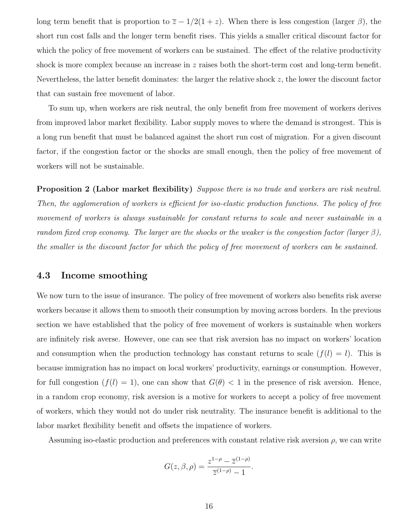long term benefit that is proportion to  $\overline{z} - 1/2(1 + z)$ . When there is less congestion (larger  $\beta$ ), the short run cost falls and the longer term benefit rises. This yields a smaller critical discount factor for which the policy of free movement of workers can be sustained. The effect of the relative productivity shock is more complex because an increase in z raises both the short-term cost and long-term benefit. Nevertheless, the latter benefit dominates: the larger the relative shock  $z$ , the lower the discount factor that can sustain free movement of labor.

To sum up, when workers are risk neutral, the only benefit from free movement of workers derives from improved labor market flexibility. Labor supply moves to where the demand is strongest. This is a long run benefit that must be balanced against the short run cost of migration. For a given discount factor, if the congestion factor or the shocks are small enough, then the policy of free movement of workers will not be sustainable.

**Proposition 2 (Labor market flexibility)** Suppose there is no trade and workers are risk neutral. Then, the agglomeration of workers is efficient for iso-elastic production functions. The policy of free movement of workers is always sustainable for constant returns to scale and never sustainable in a random fixed crop economy. The larger are the shocks or the weaker is the congestion factor (larger  $\beta$ ), the smaller is the discount factor for which the policy of free movement of workers can be sustained.

### 4.3 Income smoothing

We now turn to the issue of insurance. The policy of free movement of workers also benefits risk averse workers because it allows them to smooth their consumption by moving across borders. In the previous section we have established that the policy of free movement of workers is sustainable when workers are infinitely risk averse. However, one can see that risk aversion has no impact on workers' location and consumption when the production technology has constant returns to scale  $(f(l) = l)$ . This is because immigration has no impact on local workers' productivity, earnings or consumption. However, for full congestion  $(f(l) = 1)$ , one can show that  $G(\theta) < 1$  in the presence of risk aversion. Hence, in a random crop economy, risk aversion is a motive for workers to accept a policy of free movement of workers, which they would not do under risk neutrality. The insurance benefit is additional to the labor market flexibility benefit and offsets the impatience of workers.

Assuming iso-elastic production and preferences with constant relative risk aversion  $\rho$ , we can write

$$
G(z, \beta, \rho) = \frac{z^{1-\rho} - \overline{z}^{(1-\rho)}}{\overline{z}^{(1-\rho)} - 1}.
$$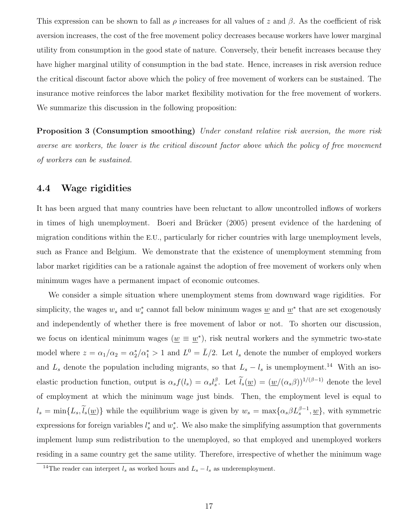This expression can be shown to fall as  $\rho$  increases for all values of z and  $\beta$ . As the coefficient of risk aversion increases, the cost of the free movement policy decreases because workers have lower marginal utility from consumption in the good state of nature. Conversely, their benefit increases because they have higher marginal utility of consumption in the bad state. Hence, increases in risk aversion reduce the critical discount factor above which the policy of free movement of workers can be sustained. The insurance motive reinforces the labor market flexibility motivation for the free movement of workers. We summarize this discussion in the following proposition:

**Proposition 3 (Consumption smoothing)** Under constant relative risk aversion, the more risk averse are workers, the lower is the critical discount factor above which the policy of free movement of workers can be sustained.

#### 4.4 Wage rigidities

It has been argued that many countries have been reluctant to allow uncontrolled inflows of workers in times of high unemployment. Boeri and Brücker (2005) present evidence of the hardening of migration conditions within the E.U., particularly for richer countries with large unemployment levels, such as France and Belgium. We demonstrate that the existence of unemployment stemming from labor market rigidities can be a rationale against the adoption of free movement of workers only when minimum wages have a permanent impact of economic outcomes.

We consider a simple situation where unemployment stems from downward wage rigidities. For simplicity, the wages  $w_s$  and  $w_s^*$  cannot fall below minimum wages  $\underline{w}$  and  $\underline{w}^*$  that are set exogenously and independently of whether there is free movement of labor or not. To shorten our discussion, we focus on identical minimum wages  $(\underline{w} \equiv \underline{w}^*)$ , risk neutral workers and the symmetric two-state model where  $z = \alpha_1/\alpha_2 = \alpha_2^*/\alpha_1^* > 1$  and  $L^0 = \bar{L}/2$ . Let  $l_s$  denote the number of employed workers and  $L_s$  denote the population including migrants, so that  $L_s - l_s$  is unemployment.<sup>14</sup> With an isoelastic production function, output is  $\alpha_s f(l_s) = \alpha_s l_s^{\beta}$ . Let  $l_s(\underline{w}) = (\underline{w}/(\alpha_s \beta))^{1/(\beta-1)}$  denote the level of employment at which the minimum wage just binds. Then, the employment level is equal to  $l_s = \min\{L_s, l_s(\underline{w})\}\$  while the equilibrium wage is given by  $w_s = \max\{\alpha_s\beta L_s^{\beta-1}, \underline{w}\}\$ , with symmetric expressions for foreign variables  $l_s^*$  and  $w_s^*$ . We also make the simplifying assumption that governments implement lump sum redistribution to the unemployed, so that employed and unemployed workers residing in a same country get the same utility. Therefore, irrespective of whether the minimum wage

<sup>&</sup>lt;sup>14</sup>The reader can interpret  $l_s$  as worked hours and  $L_s - l_s$  as underemployment.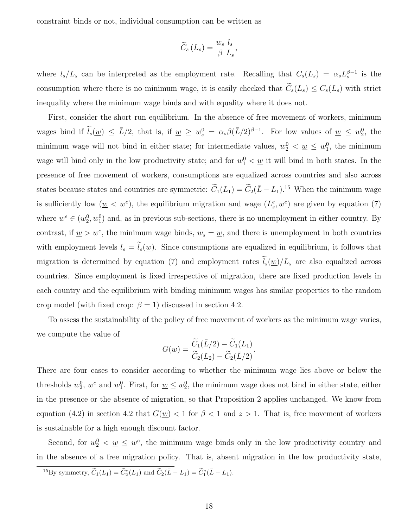constraint binds or not, individual consumption can be written as

$$
\widetilde{C}_s(L_s) = \frac{w_s}{\beta} \frac{l_s}{L_s},
$$

where  $l_s/L_s$  can be interpreted as the employment rate. Recalling that  $C_s(L_s) = \alpha_s L_s^{\beta-1}$  is the consumption where there is no minimum wage, it is easily checked that  $\tilde{C}_s(L_s) \leq C_s(L_s)$  with strict inequality where the minimum wage binds and with equality where it does not.

First, consider the short run equilibrium. In the absence of free movement of workers, minimum wages bind if  $\tilde{l}_s(\underline{w}) \leq \bar{L}/2$ , that is, if  $\underline{w} \geq w_s^0 = \alpha_s \beta (\bar{L}/2)^{\beta-1}$ . For low values of  $\underline{w} \leq w_2^0$ , the minimum wage will not bind in either state; for intermediate values,  $w_2^0 < \underline{w} \leq w_1^0$ , the minimum wage will bind only in the low productivity state; and for  $w_1^0 < \underline{w}$  it will bind in both states. In the presence of free movement of workers, consumptions are equalized across countries and also across states because states and countries are symmetric:  $\tilde{C}_1(L_1) = \tilde{C}_2(\bar{L} - L_1)$ .<sup>15</sup> When the minimum wage is sufficiently low  $(\underline{w} \langle w \rangle)$ , the equilibrium migration and wage  $(L_s^e, w^e)$  are given by equation (7) where  $w^e \in (w_2^0, w_1^0)$  and, as in previous sub-sections, there is no unemployment in either country. By contrast, if  $\underline{w} > w^e$ , the minimum wage binds,  $w_s = \underline{w}$ , and there is unemployment in both countries with employment levels  $l_s = \tilde{l}_s(\underline{w})$ . Since consumptions are equalized in equilibrium, it follows that migration is determined by equation (7) and employment rates  $\tilde{l}_s(\underline{w})/L_s$  are also equalized across countries. Since employment is fixed irrespective of migration, there are fixed production levels in each country and the equilibrium with binding minimum wages has similar properties to the random crop model (with fixed crop:  $\beta = 1$ ) discussed in section 4.2.

To assess the sustainability of the policy of free movement of workers as the minimum wage varies, we compute the value of

$$
G(\underline{w}) = \frac{\widetilde{C}_1(\overline{L}/2) - \widetilde{C}_1(L_1)}{\widetilde{C}_2(L_2) - \widetilde{C}_2(\overline{L}/2)}.
$$

There are four cases to consider according to whether the minimum wage lies above or below the thresholds  $w_2^0$ ,  $w^e$  and  $w_1^0$ . First, for  $\underline{w} \leq w_2^0$ , the minimum wage does not bind in either state, either in the presence or the absence of migration, so that Proposition 2 applies unchanged. We know from equation (4.2) in section 4.2 that  $G(\underline{w}) < 1$  for  $\beta < 1$  and  $z > 1$ . That is, free movement of workers is sustainable for a high enough discount factor.

Second, for  $w_2^0 < \underline{w} \leq w^e$ , the minimum wage binds only in the low productivity country and in the absence of a free migration policy. That is, absent migration in the low productivity state,

<sup>&</sup>lt;sup>15</sup>By symmetry,  $\widetilde{C}_1(L_1) = \widetilde{C}_2^*(L_1)$  and  $\widetilde{C}_2(\bar{L} - L_1) = \widetilde{C}_1^*(\bar{L} - L_1)$ .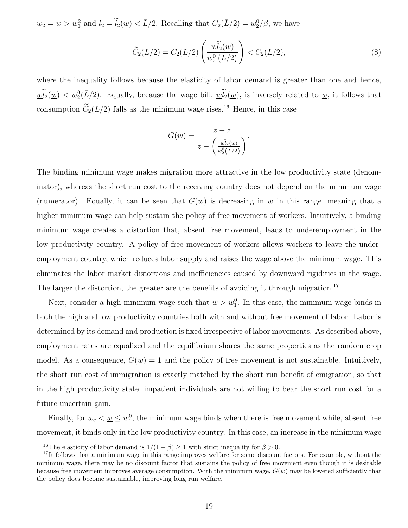$w_2 = \underline{w} > w_0^2$  and  $l_2 = \widetilde{l}_2(\underline{w}) < \overline{L}/2$ . Recalling that  $C_2(\overline{L}/2) = w_2^0/\beta$ , we have

$$
\widetilde{C}_2(\bar{L}/2) = C_2(\bar{L}/2) \left( \frac{\underline{w} \widetilde{l}_2(\underline{w})}{w_2^0(\bar{L}/2)} \right) < C_2(\bar{L}/2),\tag{8}
$$

where the inequality follows because the elasticity of labor demand is greater than one and hence,  $\tilde{\omega_2}(\underline{w}) < w_2^0(\overline{L}/2)$ . Equally, because the wage bill,  $\tilde{\omega_2}(\underline{w})$ , is inversely related to  $\underline{w}$ , it follows that consumption  $\widetilde{C}_2(\overline{L}/2)$  falls as the minimum wage rises.<sup>16</sup> Hence, in this case

$$
G(\underline{w}) = \frac{z - \overline{z}}{\overline{z} - \left(\frac{\underline{w}\widetilde{u}_2(\underline{w})}{w_2^0(\overline{L}/2)}\right)}.
$$

The binding minimum wage makes migration more attractive in the low productivity state (denominator), whereas the short run cost to the receiving country does not depend on the minimum wage (numerator). Equally, it can be seen that  $G(\underline{w})$  is decreasing in  $\underline{w}$  in this range, meaning that a higher minimum wage can help sustain the policy of free movement of workers. Intuitively, a binding minimum wage creates a distortion that, absent free movement, leads to underemployment in the low productivity country. A policy of free movement of workers allows workers to leave the underemployment country, which reduces labor supply and raises the wage above the minimum wage. This eliminates the labor market distortions and inefficiencies caused by downward rigidities in the wage. The larger the distortion, the greater are the benefits of avoiding it through migration.<sup>17</sup>

Next, consider a high minimum wage such that  $\underline{w} > w_1^0$ . In this case, the minimum wage binds in both the high and low productivity countries both with and without free movement of labor. Labor is determined by its demand and production is fixed irrespective of labor movements. As described above, employment rates are equalized and the equilibrium shares the same properties as the random crop model. As a consequence,  $G(w) = 1$  and the policy of free movement is not sustainable. Intuitively, the short run cost of immigration is exactly matched by the short run benefit of emigration, so that in the high productivity state, impatient individuals are not willing to bear the short run cost for a future uncertain gain.

Finally, for  $w_e < \underline{w} \leq w_1^0$ , the minimum wage binds when there is free movement while, absent free movement, it binds only in the low productivity country. In this case, an increase in the minimum wage

<sup>&</sup>lt;sup>16</sup>The elasticity of labor demand is  $1/(1 - \beta) \ge 1$  with strict inequality for  $\beta > 0$ .

 $17$ It follows that a minimum wage in this range improves welfare for some discount factors. For example, without the minimum wage, there may be no discount factor that sustains the policy of free movement even though it is desirable because free movement improves average consumption. With the minimum wage,  $G(w)$  may be lowered sufficiently that the policy does become sustainable, improving long run welfare.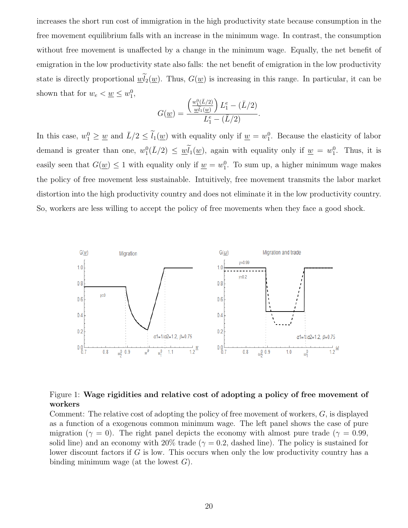increases the short run cost of immigration in the high productivity state because consumption in the free movement equilibrium falls with an increase in the minimum wage. In contrast, the consumption without free movement is unaffected by a change in the minimum wage. Equally, the net benefit of emigration in the low productivity state also falls: the net benefit of emigration in the low productivity state is directly proportional  $\omega \tilde{I}_2(\omega)$ . Thus,  $G(\omega)$  is increasing in this range. In particular, it can be shown that for  $w_e < \underline{w} \leq w_1^0$ ,

$$
G(\underline{w}) = \frac{\left(\frac{w_1^0(\bar{L}/2)}{\bar{w_1}(\underline{w})}\right)L_1^e - (\bar{L}/2)}{L_1^e - (\bar{L}/2)}.
$$

In this case,  $w_1^0 \geq \underline{w}$  and  $\overline{L}/2 \leq \tilde{l}_1(\underline{w})$  with equality only if  $\underline{w} = w_1^0$ . Because the elasticity of labor demand is greater than one,  $w_1^0(\bar{L}/2) \leq \underline{w}\tilde{l}_1(\underline{w})$ , again with equality only if  $\underline{w} = w_1^0$ . Thus, it is easily seen that  $G(\underline{w}) \leq 1$  with equality only if  $\underline{w} = w_1^0$ . To sum up, a higher minimum wage makes the policy of free movement less sustainable. Intuitively, free movement transmits the labor market distortion into the high productivity country and does not eliminate it in the low productivity country. So, workers are less willing to accept the policy of free movements when they face a good shock.



#### Figure 1: Wage rigidities and relative cost of adopting a policy of free movement of workers

Comment: The relative cost of adopting the policy of free movement of workers, G, is displayed as a function of a exogenous common minimum wage. The left panel shows the case of pure migration ( $\gamma = 0$ ). The right panel depicts the economy with almost pure trade ( $\gamma = 0.99$ , solid line) and an economy with 20% trade ( $\gamma = 0.2$ , dashed line). The policy is sustained for lower discount factors if G is low. This occurs when only the low productivity country has a binding minimum wage (at the lowest  $G$ ).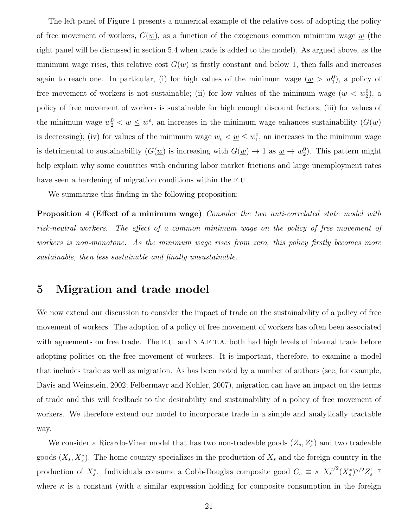The left panel of Figure 1 presents a numerical example of the relative cost of adopting the policy of free movement of workers,  $G(w)$ , as a function of the exogenous common minimum wage w (the right panel will be discussed in section 5.4 when trade is added to the model). As argued above, as the minimum wage rises, this relative cost  $G(w)$  is firstly constant and below 1, then falls and increases again to reach one. In particular, (i) for high values of the minimum wage  $(\underline{w} > w_1^0)$ , a policy of free movement of workers is not sustainable; (ii) for low values of the minimum wage  $(\underline{w} \langle w_2^0 \rangle)$ , a policy of free movement of workers is sustainable for high enough discount factors; (iii) for values of the minimum wage  $w_2^0 < \underline{w} \leq w^e$ , an increases in the minimum wage enhances sustainability  $(G(\underline{w}))$ is decreasing); (iv) for values of the minimum wage  $w_e < \underline{w} \leq w_1^0$ , an increases in the minimum wage is detrimental to sustainability  $(G(\underline{w})$  is increasing with  $G(\underline{w}) \to 1$  as  $\underline{w} \to w_2^0$ . This pattern might help explain why some countries with enduring labor market frictions and large unemployment rates have seen a hardening of migration conditions within the E.U.

We summarize this finding in the following proposition:

Proposition 4 (Effect of a minimum wage) Consider the two anti-correlated state model with risk-neutral workers. The effect of a common minimum wage on the policy of free movement of workers is non-monotone. As the minimum wage rises from zero, this policy firstly becomes more sustainable, then less sustainable and finally unsustainable.

## 5 Migration and trade model

We now extend our discussion to consider the impact of trade on the sustainability of a policy of free movement of workers. The adoption of a policy of free movement of workers has often been associated with agreements on free trade. The E.U. and N.A.F.T.A. both had high levels of internal trade before adopting policies on the free movement of workers. It is important, therefore, to examine a model that includes trade as well as migration. As has been noted by a number of authors (see, for example, Davis and Weinstein, 2002; Felbermayr and Kohler, 2007), migration can have an impact on the terms of trade and this will feedback to the desirability and sustainability of a policy of free movement of workers. We therefore extend our model to incorporate trade in a simple and analytically tractable way.

We consider a Ricardo-Viner model that has two non-tradeable goods  $(Z_s, Z_s^*)$  and two tradeable goods  $(X_s, X_s^*)$ . The home country specializes in the production of  $X_s$  and the foreign country in the production of  $X_s^*$ . Individuals consume a Cobb-Douglas composite good  $C_s \equiv \kappa \ X_s^{\gamma/2} (X_s^*)^{\gamma/2} Z_s^{1-\gamma}$ where  $\kappa$  is a constant (with a similar expression holding for composite consumption in the foreign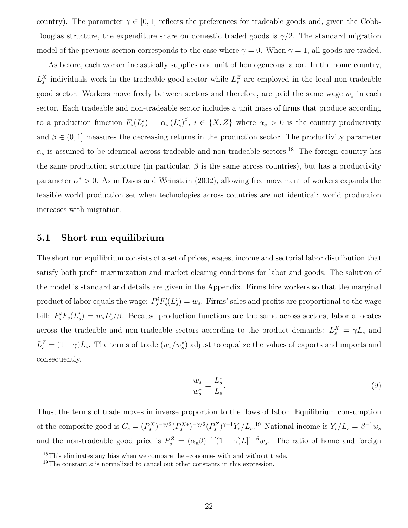country). The parameter  $\gamma \in [0, 1]$  reflects the preferences for tradeable goods and, given the Cobb-Douglas structure, the expenditure share on domestic traded goods is  $\gamma/2$ . The standard migration model of the previous section corresponds to the case where  $\gamma = 0$ . When  $\gamma = 1$ , all goods are traded.

As before, each worker inelastically supplies one unit of homogeneous labor. In the home country,  $L_s^X$  individuals work in the tradeable good sector while  $L_s^Z$  are employed in the local non-tradeable good sector. Workers move freely between sectors and therefore, are paid the same wage  $w_s$  in each sector. Each tradeable and non-tradeable sector includes a unit mass of firms that produce according to a production function  $F_s(L_s^i) = \alpha_s (L_s^i)^{\beta}$ ,  $i \in \{X, Z\}$  where  $\alpha_s > 0$  is the country productivity and  $\beta \in (0, 1]$  measures the decreasing returns in the production sector. The productivity parameter  $\alpha_s$  is assumed to be identical across tradeable and non-tradeable sectors.<sup>18</sup> The foreign country has the same production structure (in particular,  $\beta$  is the same across countries), but has a productivity parameter  $\alpha^* > 0$ . As in Davis and Weinstein (2002), allowing free movement of workers expands the feasible world production set when technologies across countries are not identical: world production increases with migration.

#### 5.1 Short run equilibrium

The short run equilibrium consists of a set of prices, wages, income and sectorial labor distribution that satisfy both profit maximization and market clearing conditions for labor and goods. The solution of the model is standard and details are given in the Appendix. Firms hire workers so that the marginal product of labor equals the wage:  $P_s^i F_s'(L_s^i) = w_s$ . Firms' sales and profits are proportional to the wage bill:  $P_s^i F_s(L_s^i) = w_s L_s^i/\beta$ . Because production functions are the same across sectors, labor allocates across the tradeable and non-tradeable sectors according to the product demands:  $L_s^X = \gamma L_s$  and  $L_s^Z = (1 - \gamma)L_s$ . The terms of trade  $(w_s/w_s^*)$  adjust to equalize the values of exports and imports and consequently,

$$
\frac{w_s}{w_s^*} = \frac{L_s^*}{L_s}.\tag{9}
$$

Thus, the terms of trade moves in inverse proportion to the flows of labor. Equilibrium consumption of the composite good is  $C_s = (P_s^X)^{-\gamma/2} (P_s^X)^{-\gamma/2} (P_s^Z)^{\gamma-1} Y_s/L_s$ .<sup>19</sup> National income is  $Y_s/L_s = \beta^{-1} w_s$ and the non-tradeable good price is  $P_s^Z = (\alpha_s \beta)^{-1}[(1-\gamma)L]^{1-\beta}w_s$ . The ratio of home and foreign

 $18$ This eliminates any bias when we compare the economies with and without trade.

<sup>&</sup>lt;sup>19</sup>The constant  $\kappa$  is normalized to cancel out other constants in this expression.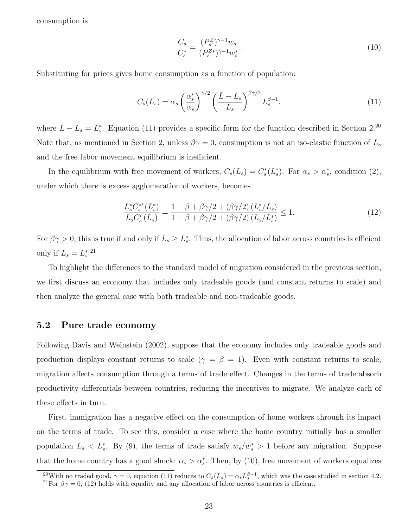consumption is

$$
\frac{C_s}{C_s^*} = \frac{(P_s^Z)^{\gamma - 1} w_s}{(P_s^Z^*)^{\gamma - 1} w_s^*}.
$$
\n(10)

Substituting for prices gives home consumption as a function of population:

$$
C_s(L_s) = \alpha_s \left(\frac{\alpha_s^*}{\alpha_s}\right)^{\gamma/2} \left(\frac{\bar{L} - L_s}{L_s}\right)^{\beta \gamma/2} L_s^{\beta - 1}.
$$
 (11)

where  $\bar{L} - L_s = L_s^*$ . Equation (11) provides a specific form for the function described in Section 2.<sup>20</sup> Note that, as mentioned in Section 2, unless  $\beta \gamma = 0$ , consumption is not an iso-elastic function of  $L_s$ and the free labor movement equilibrium is inefficient.

In the equilibrium with free movement of workers,  $C_s(L_s) = C_s^*(L_s)$ . For  $\alpha_s > \alpha_s^*$ , condition (2), under which there is excess agglomeration of workers, becomes

$$
\frac{L_s^* C_s^{*'}(L_s^*)}{L_s C_s'(L_s)} = \frac{1 - \beta + \beta \gamma / 2 + (\beta \gamma / 2) (L_s^* / L_s)}{1 - \beta + \beta \gamma / 2 + (\beta \gamma / 2) (L_s / L_s^*)} \le 1.
$$
\n(12)

For  $\beta\gamma > 0$ , this is true if and only if  $L_s \ge L_s^*$ . Thus, the allocation of labor across countries is efficient only if  $L_s = L_s^*$ .<sup>21</sup>

To highlight the differences to the standard model of migration considered in the previous section, we first discuss an economy that includes only tradeable goods (and constant returns to scale) and then analyze the general case with both tradeable and non-tradeable goods.

#### 5.2 Pure trade economy

Following Davis and Weinstein (2002), suppose that the economy includes only tradeable goods and production displays constant returns to scale ( $\gamma = \beta = 1$ ). Even with constant returns to scale, migration affects consumption through a terms of trade effect. Changes in the terms of trade absorb productivity differentials between countries, reducing the incentives to migrate. We analyze each of these effects in turn.

First, immigration has a negative effect on the consumption of home workers through its impact on the terms of trade. To see this, consider a case where the home country initially has a smaller population  $L_s < L_s^*$ . By (9), the terms of trade satisfy  $w_s/w_s^* > 1$  before any migration. Suppose that the home country has a good shock:  $\alpha_s > \alpha_s^*$ . Then, by (10), free movement of workers equalizes

<sup>&</sup>lt;sup>20</sup>With no traded good,  $\gamma = 0$ , equation (11) reduces to  $C_s(L_s) = \alpha_s L_s^{\beta - 1}$ , which was the case studied in section 4.2. <sup>21</sup>For  $\beta \gamma = 0$ , (12) holds with equality and any allocation of labor across countries is efficient.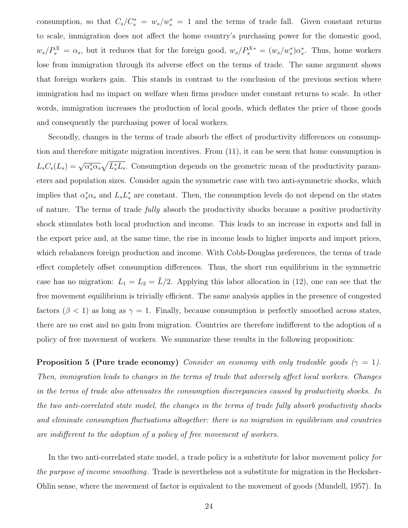consumption, so that  $C_s/C_s^* = w_s/w_s^* = 1$  and the terms of trade fall. Given constant returns to scale, immigration does not affect the home country's purchasing power for the domestic good,  $w_s/P_s^X = \alpha_s$ , but it reduces that for the foreign good,  $w_s/P_s^{X*} = (w_s/w_s^*)\alpha_s^*$ . Thus, home workers lose from immigration through its adverse effect on the terms of trade. The same argument shows that foreign workers gain. This stands in contrast to the conclusion of the previous section where immigration had no impact on welfare when firms produce under constant returns to scale. In other words, immigration increases the production of local goods, which deflates the price of those goods and consequently the purchasing power of local workers.

Secondly, changes in the terms of trade absorb the effect of productivity differences on consumption and therefore mitigate migration incentives. From (11), it can be seen that home consumption is  $L_sC_s(L_s) = \sqrt{\alpha_s^*\alpha_s}\sqrt{L_s^*L_s}$ . Consumption depends on the geometric mean of the productivity parameters and population sizes. Consider again the symmetric case with two anti-symmetric shocks, which implies that  $\alpha_s^* \alpha_s$  and  $L_s L_s^*$  are constant. Then, the consumption levels do not depend on the states of nature. The terms of trade *fully* absorb the productivity shocks because a positive productivity shock stimulates both local production and income. This leads to an increase in exports and fall in the export price and, at the same time, the rise in income leads to higher imports and import prices, which rebalances foreign production and income. With Cobb-Douglas preferences, the terms of trade effect completely offset consumption differences. Thus, the short run equilibrium in the symmetric case has no migration:  $L_1 = L_2 = \bar{L}/2$ . Applying this labor allocation in (12), one can see that the free movement equilibrium is trivially efficient. The same analysis applies in the presence of congested factors ( $\beta$  < 1) as long as  $\gamma = 1$ . Finally, because consumption is perfectly smoothed across states, there are no cost and no gain from migration. Countries are therefore indifferent to the adoption of a policy of free movement of workers. We summarize these results in the following proposition:

**Proposition 5 (Pure trade economy)** Consider an economy with only tradeable goods ( $\gamma = 1$ ). Then, immigration leads to changes in the terms of trade that adversely affect local workers. Changes in the terms of trade also attenuates the consumption discrepancies caused by productivity shocks. In the two anti-correlated state model, the changes in the terms of trade fully absorb productivity shocks and eliminate consumption fluctuations altogether: there is no migration in equilibrium and countries are indifferent to the adoption of a policy of free movement of workers.

In the two anti-correlated state model, a trade policy is a substitute for labor movement policy for the purpose of income smoothing. Trade is nevertheless not a substitute for migration in the Hecksher-Ohlin sense, where the movement of factor is equivalent to the movement of goods (Mundell, 1957). In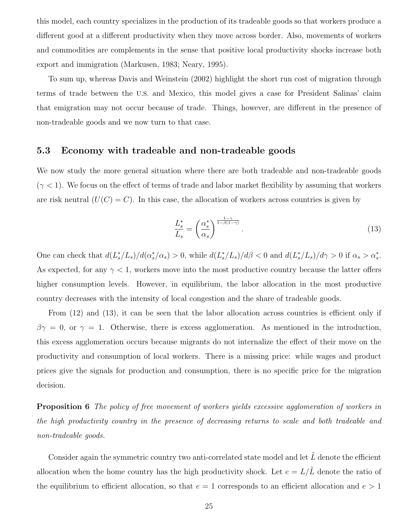this model, each country specializes in the production of its tradeable goods so that workers produce a different good at a different productivity when they move across border. Also, movements of workers and commodities are complements in the sense that positive local productivity shocks increase both export and immigration (Markusen, 1983; Neary, 1995).

To sum up, whereas Davis and Weinstein (2002) highlight the short run cost of migration through terms of trade between the U.S. and Mexico, this model gives a case for President Salinas' claim that emigration may not occur because of trade. Things, however, are different in the presence of non-tradeable goods and we now turn to that case.

#### 5.3 Economy with tradeable and non-tradeable goods

We now study the more general situation where there are both tradeable and non-tradeable goods  $(\gamma < 1)$ . We focus on the effect of terms of trade and labor market flexibility by assuming that workers are risk neutral  $(U(C) = C)$ . In this case, the allocation of workers across countries is given by

$$
\frac{L_s^*}{L_s} = \left(\frac{\alpha_s^*}{\alpha_s}\right)^{\frac{1-\gamma}{1-\beta(1-\gamma)}}.\tag{13}
$$

One can check that  $d(L_s^*/L_s)/d(\alpha_s^*/\alpha_s) > 0$ , while  $d(L_s^*/L_s)/d\beta < 0$  and  $d(L_s^*/L_s)/d\gamma > 0$  if  $\alpha_s > \alpha_s^*$ . As expected, for any  $\gamma < 1$ , workers move into the most productive country because the latter offers higher consumption levels. However, in equilibrium, the labor allocation in the most productive country decreases with the intensity of local congestion and the share of tradeable goods.

From (12) and (13), it can be seen that the labor allocation across countries is efficient only if  $\beta\gamma = 0$ , or  $\gamma = 1$ . Otherwise, there is excess agglomeration. As mentioned in the introduction, this excess agglomeration occurs because migrants do not internalize the effect of their move on the productivity and consumption of local workers. There is a missing price: while wages and product prices give the signals for production and consumption, there is no specific price for the migration decision.

**Proposition 6** The policy of free movement of workers yields excessive agglomeration of workers in the high productivity country in the presence of decreasing returns to scale and both tradeable and non-tradeable goods.

Consider again the symmetric country two anti-correlated state model and let  $\tilde{L}$  denote the efficient allocation when the home country has the high productivity shock. Let  $e = L/L$  denote the ratio of the equilibrium to efficient allocation, so that  $e = 1$  corresponds to an efficient allocation and  $e > 1$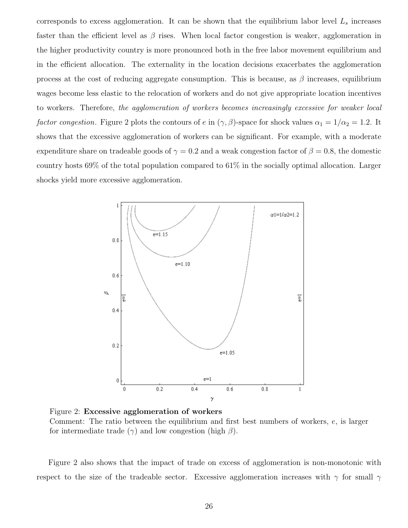corresponds to excess agglomeration. It can be shown that the equilibrium labor level  $L<sub>s</sub>$  increases faster than the efficient level as  $\beta$  rises. When local factor congestion is weaker, agglomeration in the higher productivity country is more pronounced both in the free labor movement equilibrium and in the efficient allocation. The externality in the location decisions exacerbates the agglomeration process at the cost of reducing aggregate consumption. This is because, as  $\beta$  increases, equilibrium wages become less elastic to the relocation of workers and do not give appropriate location incentives to workers. Therefore, the agglomeration of workers becomes increasingly excessive for weaker local factor congestion. Figure 2 plots the contours of e in  $(\gamma, \beta)$ -space for shock values  $\alpha_1 = 1/\alpha_2 = 1.2$ . It shows that the excessive agglomeration of workers can be significant. For example, with a moderate expenditure share on tradeable goods of  $\gamma = 0.2$  and a weak congestion factor of  $\beta = 0.8$ , the domestic country hosts 69% of the total population compared to 61% in the socially optimal allocation. Larger shocks yield more excessive agglomeration.



Figure 2: Excessive agglomeration of workers Comment: The ratio between the equilibrium and first best numbers of workers, e, is larger for intermediate trade ( $\gamma$ ) and low congestion (high  $\beta$ ).

Figure 2 also shows that the impact of trade on excess of agglomeration is non-monotonic with respect to the size of the tradeable sector. Excessive agglomeration increases with  $\gamma$  for small  $\gamma$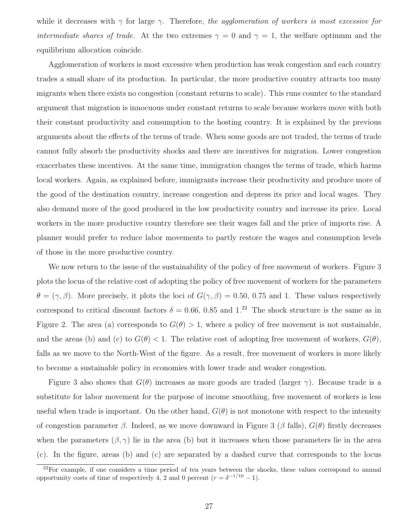while it decreases with  $\gamma$  for large  $\gamma$ . Therefore, the agglomeration of workers is most excessive for intermediate shares of trade. At the two extremes  $\gamma = 0$  and  $\gamma = 1$ , the welfare optimum and the equilibrium allocation coincide.

Agglomeration of workers is most excessive when production has weak congestion and each country trades a small share of its production. In particular, the more productive country attracts too many migrants when there exists no congestion (constant returns to scale). This runs counter to the standard argument that migration is innocuous under constant returns to scale because workers move with both their constant productivity and consumption to the hosting country. It is explained by the previous arguments about the effects of the terms of trade. When some goods are not traded, the terms of trade cannot fully absorb the productivity shocks and there are incentives for migration. Lower congestion exacerbates these incentives. At the same time, immigration changes the terms of trade, which harms local workers. Again, as explained before, immigrants increase their productivity and produce more of the good of the destination country, increase congestion and depress its price and local wages. They also demand more of the good produced in the low productivity country and increase its price. Local workers in the more productive country therefore see their wages fall and the price of imports rise. A planner would prefer to reduce labor movements to partly restore the wages and consumption levels of those in the more productive country.

We now return to the issue of the sustainability of the policy of free movement of workers. Figure 3 plots the locus of the relative cost of adopting the policy of free movement of workers for the parameters  $\theta = (\gamma, \beta)$ . More precisely, it plots the loci of  $G(\gamma, \beta) = 0.50$ , 0.75 and 1. These values respectively correspond to critical discount factors  $\delta = 0.66, 0.85$  and  $1.^{22}$  The shock structure is the same as in Figure 2. The area (a) corresponds to  $G(\theta) > 1$ , where a policy of free movement is not sustainable, and the areas (b) and (c) to  $G(\theta) < 1$ . The relative cost of adopting free movement of workers,  $G(\theta)$ , falls as we move to the North-West of the figure. As a result, free movement of workers is more likely to become a sustainable policy in economies with lower trade and weaker congestion.

Figure 3 also shows that  $G(\theta)$  increases as more goods are traded (larger  $\gamma$ ). Because trade is a substitute for labor movement for the purpose of income smoothing, free movement of workers is less useful when trade is important. On the other hand,  $G(\theta)$  is not monotone with respect to the intensity of congestion parameter  $\beta$ . Indeed, as we move downward in Figure 3 ( $\beta$  falls),  $G(\theta)$  firstly decreases when the parameters  $(\beta, \gamma)$  lie in the area (b) but it increases when those parameters lie in the area (c). In the figure, areas (b) and (c) are separated by a dashed curve that corresponds to the locus

 $22$ For example, if one considers a time period of ten years between the shocks, these values correspond to annual opportunity costs of time of respectively 4, 2 and 0 percent  $(r = \delta^{-1/10} - 1)$ .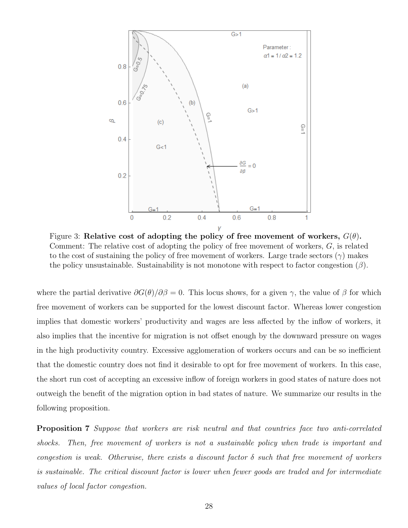

Figure 3: Relative cost of adopting the policy of free movement of workers,  $G(\theta)$ . Comment: The relative cost of adopting the policy of free movement of workers, G, is related to the cost of sustaining the policy of free movement of workers. Large trade sectors ( $\gamma$ ) makes the policy unsustainable. Sustainability is not monotone with respect to factor congestion  $(\beta)$ .

where the partial derivative  $\partial G(\theta)/\partial \beta = 0$ . This locus shows, for a given  $\gamma$ , the value of  $\beta$  for which free movement of workers can be supported for the lowest discount factor. Whereas lower congestion implies that domestic workers' productivity and wages are less affected by the inflow of workers, it also implies that the incentive for migration is not offset enough by the downward pressure on wages in the high productivity country. Excessive agglomeration of workers occurs and can be so inefficient that the domestic country does not find it desirable to opt for free movement of workers. In this case, the short run cost of accepting an excessive inflow of foreign workers in good states of nature does not outweigh the benefit of the migration option in bad states of nature. We summarize our results in the following proposition.

**Proposition 7** Suppose that workers are risk neutral and that countries face two anti-correlated shocks. Then, free movement of workers is not a sustainable policy when trade is important and congestion is weak. Otherwise, there exists a discount factor  $\delta$  such that free movement of workers is sustainable. The critical discount factor is lower when fewer goods are traded and for intermediate values of local factor congestion.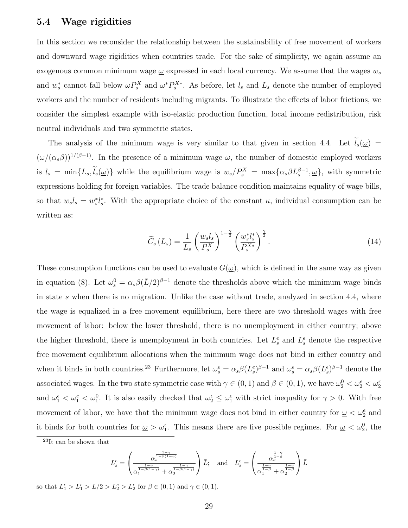### 5.4 Wage rigidities

In this section we reconsider the relationship between the sustainability of free movement of workers and downward wage rigidities when countries trade. For the sake of simplicity, we again assume an exogenous common minimum wage  $\omega$  expressed in each local currency. We assume that the wages  $w_s$ and  $w_s^*$  cannot fall below  $\omega P_s^X$  and  $\omega^* P_s^{X*}$ . As before, let  $l_s$  and  $L_s$  denote the number of employed workers and the number of residents including migrants. To illustrate the effects of labor frictions, we consider the simplest example with iso-elastic production function, local income redistribution, risk neutral individuals and two symmetric states.

The analysis of the minimum wage is very similar to that given in section 4.4. Let  $\tilde{l}_s(\underline{\omega})$  =  $(\underline{\omega}/(\alpha_s\beta))^{1/(\beta-1)}$ . In the presence of a minimum wage  $\underline{\omega}$ , the number of domestic employed workers is  $l_s = \min\{L_s, l_s(\omega)\}\$  while the equilibrium wage is  $w_s/P_s^X = \max\{\alpha_s\beta L_s^{\beta-1}, \omega\}\$ , with symmetric expressions holding for foreign variables. The trade balance condition maintains equality of wage bills, so that  $w_s l_s = w_s^* l_s^*$ . With the appropriate choice of the constant  $\kappa$ , individual consumption can be written as:

$$
\widetilde{C}_s \left( L_s \right) = \frac{1}{L_s} \left( \frac{w_s l_s}{P_s^X} \right)^{1 - \frac{\gamma}{2}} \left( \frac{w_s^* l_s^*}{P_s^{X*}} \right)^{\frac{\gamma}{2}}.
$$
\n
$$
\tag{14}
$$

These consumption functions can be used to evaluate  $G(\omega)$ , which is defined in the same way as given in equation (8). Let  $\omega_s^0 = \alpha_s \beta (\bar{L}/2)^{\beta-1}$  denote the thresholds above which the minimum wage binds in state s when there is no migration. Unlike the case without trade, analyzed in section 4.4, where the wage is equalized in a free movement equilibrium, here there are two threshold wages with free movement of labor: below the lower threshold, there is no unemployment in either country; above the higher threshold, there is unemployment in both countries. Let  $L_s^e$  and  $L_s^{\epsilon}$  denote the respective free movement equilibrium allocations when the minimum wage does not bind in either country and when it binds in both countries.<sup>23</sup> Furthermore, let  $\omega_s^e = \alpha_s \beta (L_s^e)^{\beta - 1}$  and  $\omega_s^{\epsilon} = \alpha_s \beta (L_s^{\epsilon})^{\beta - 1}$  denote the associated wages. In the two state symmetric case with  $\gamma \in (0,1)$  and  $\beta \in (0,1)$ , we have  $\omega_2^0 < \omega_2^e < \omega_2^e$ and  $\omega_1^{\epsilon} < \omega_1^{\epsilon} < \omega_1^0$ . It is also easily checked that  $\omega_2^{\epsilon} \leq \omega_1^{\epsilon}$  with strict inequality for  $\gamma > 0$ . With free movement of labor, we have that the minimum wage does not bind in either country for  $\underline{\omega} < \omega_2^e$  and it binds for both countries for  $\underline{\omega} > \omega_1^{\epsilon}$ . This means there are five possible regimes. For  $\underline{\omega} < \omega_2^0$ , the

$$
L_s^e=\left(\frac{\alpha_s^{\frac{1-\gamma}{1-\beta(1-\gamma)}}}{\alpha_1^{\frac{1-\gamma}{1-\beta(1-\gamma)}}+\alpha_2^{\frac{1-\gamma}{1-\beta(1-\gamma)}}}\right)\bar L;\quad\text{and}\quad L_s^\epsilon=\left(\frac{\alpha_s^{\frac{1-\gamma}{1-\beta}}}{\alpha_1^{\frac{1-\gamma}{1-\beta}}+\alpha_2^{\frac{1-\gamma}{1-\beta}}}\right)\bar L
$$

so that  $L_1^{\epsilon} > L_1^{\epsilon} > \overline{L}/2 > L_2^{\epsilon} > L_2^{\epsilon}$  for  $\beta \in (0,1)$  and  $\gamma \in (0,1)$ .

 $^{23}$ It can be shown that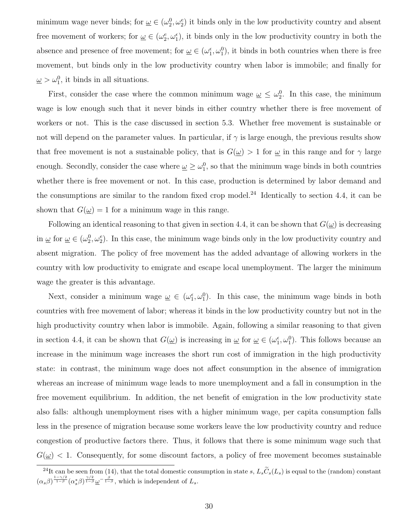minimum wage never binds; for  $\underline{\omega} \in (\omega_2^0, \omega_2^e)$  it binds only in the low productivity country and absent free movement of workers; for  $\underline{\omega} \in (\omega_2^e, \omega_1^{\epsilon}),$  it binds only in the low productivity country in both the absence and presence of free movement; for  $\omega \in (\omega_1^{\epsilon}, \omega_1^0)$ , it binds in both countries when there is free movement, but binds only in the low productivity country when labor is immobile; and finally for  $\underline{\omega} > \omega_1^0$ , it binds in all situations.

First, consider the case where the common minimum wage  $\underline{\omega} \leq \omega_2^0$ . In this case, the minimum wage is low enough such that it never binds in either country whether there is free movement of workers or not. This is the case discussed in section 5.3. Whether free movement is sustainable or not will depend on the parameter values. In particular, if  $\gamma$  is large enough, the previous results show that free movement is not a sustainable policy, that is  $G(\underline{\omega}) > 1$  for  $\underline{\omega}$  in this range and for  $\gamma$  large enough. Secondly, consider the case where  $\underline{\omega} \ge \omega_1^0$ , so that the minimum wage binds in both countries whether there is free movement or not. In this case, production is determined by labor demand and the consumptions are similar to the random fixed crop model.<sup>24</sup> Identically to section 4.4, it can be shown that  $G(\omega) = 1$  for a minimum wage in this range.

Following an identical reasoning to that given in section 4.4, it can be shown that  $G(\omega)$  is decreasing in  $\underline{\omega}$  for  $\underline{\omega} \in (\omega_2^0, \omega_2^e)$ . In this case, the minimum wage binds only in the low productivity country and absent migration. The policy of free movement has the added advantage of allowing workers in the country with low productivity to emigrate and escape local unemployment. The larger the minimum wage the greater is this advantage.

Next, consider a minimum wage  $\underline{\omega} \in (\omega_1^{\epsilon}, \omega_1^0)$ . In this case, the minimum wage binds in both countries with free movement of labor; whereas it binds in the low productivity country but not in the high productivity country when labor is immobile. Again, following a similar reasoning to that given in section 4.4, it can be shown that  $G(\underline{\omega})$  is increasing in  $\underline{\omega}$  for  $\underline{\omega} \in (\omega_1^{\epsilon}, \omega_1^0)$ . This follows because an increase in the minimum wage increases the short run cost of immigration in the high productivity state: in contrast, the minimum wage does not affect consumption in the absence of immigration whereas an increase of minimum wage leads to more unemployment and a fall in consumption in the free movement equilibrium. In addition, the net benefit of emigration in the low productivity state also falls: although unemployment rises with a higher minimum wage, per capita consumption falls less in the presence of migration because some workers leave the low productivity country and reduce congestion of productive factors there. Thus, it follows that there is some minimum wage such that  $G(\omega)$  < 1. Consequently, for some discount factors, a policy of free movement becomes sustainable

<sup>&</sup>lt;sup>24</sup>It can be seen from (14), that the total domestic consumption in state s,  $L_s\widetilde{C}_s(L_s)$  is equal to the (random) constant  $(\alpha_s \beta)^{\frac{1-\gamma/2}{1-\beta}} (\alpha_s^* \beta)^{\frac{\gamma/2}{1-\beta}} \underline{\omega}^{-\frac{\beta}{1-\beta}},$  which is independent of  $L_s$ .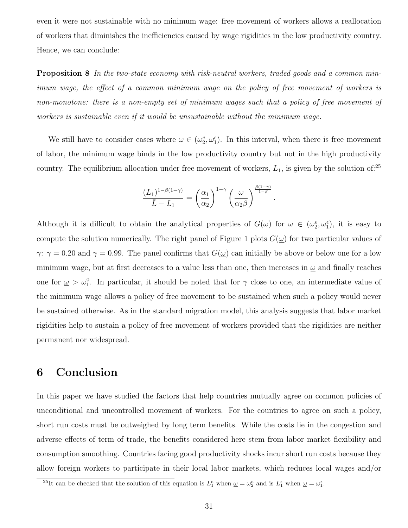even it were not sustainable with no minimum wage: free movement of workers allows a reallocation of workers that diminishes the inefficiencies caused by wage rigidities in the low productivity country. Hence, we can conclude:

**Proposition 8** In the two-state economy with risk-neutral workers, traded goods and a common minimum wage, the effect of a common minimum wage on the policy of free movement of workers is non-monotone: there is a non-empty set of minimum wages such that a policy of free movement of workers is sustainable even if it would be unsustainable without the minimum wage.

We still have to consider cases where  $\underline{\omega} \in (\omega_2^e, \omega_1^e)$ . In this interval, when there is free movement of labor, the minimum wage binds in the low productivity country but not in the high productivity country. The equilibrium allocation under free movement of workers,  $L_1$ , is given by the solution of:<sup>25</sup>

$$
\frac{(L_1)^{1-\beta(1-\gamma)}}{\bar{L}-L_1} = \left(\frac{\alpha_1}{\alpha_2}\right)^{1-\gamma} \left(\frac{\underline{\omega}}{\alpha_2 \beta}\right)^{\frac{\beta(1-\gamma)}{1-\beta}}
$$

.

Although it is difficult to obtain the analytical properties of  $G(\underline{\omega})$  for  $\underline{\omega} \in (\omega_2^e, \omega_1^e)$ , it is easy to compute the solution numerically. The right panel of Figure 1 plots  $G(\underline{\omega})$  for two particular values of  $\gamma: \gamma = 0.20$  and  $\gamma = 0.99$ . The panel confirms that  $G(\underline{\omega})$  can initially be above or below one for a low minimum wage, but at first decreases to a value less than one, then increases in  $\omega$  and finally reaches one for  $\underline{\omega} > \omega_1^0$ . In particular, it should be noted that for  $\gamma$  close to one, an intermediate value of the minimum wage allows a policy of free movement to be sustained when such a policy would never be sustained otherwise. As in the standard migration model, this analysis suggests that labor market rigidities help to sustain a policy of free movement of workers provided that the rigidities are neither permanent nor widespread.

# 6 Conclusion

In this paper we have studied the factors that help countries mutually agree on common policies of unconditional and uncontrolled movement of workers. For the countries to agree on such a policy, short run costs must be outweighed by long term benefits. While the costs lie in the congestion and adverse effects of term of trade, the benefits considered here stem from labor market flexibility and consumption smoothing. Countries facing good productivity shocks incur short run costs because they allow foreign workers to participate in their local labor markets, which reduces local wages and/or

<sup>&</sup>lt;sup>25</sup>It can be checked that the solution of this equation is  $L_1^e$  when  $\underline{\omega} = \omega_2^e$  and is  $L_1^e$  when  $\underline{\omega} = \omega_1^e$ .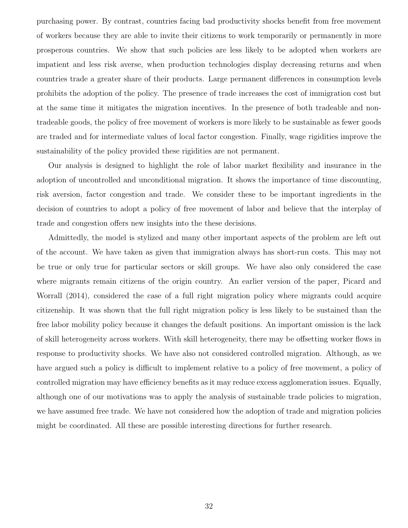purchasing power. By contrast, countries facing bad productivity shocks benefit from free movement of workers because they are able to invite their citizens to work temporarily or permanently in more prosperous countries. We show that such policies are less likely to be adopted when workers are impatient and less risk averse, when production technologies display decreasing returns and when countries trade a greater share of their products. Large permanent differences in consumption levels prohibits the adoption of the policy. The presence of trade increases the cost of immigration cost but at the same time it mitigates the migration incentives. In the presence of both tradeable and nontradeable goods, the policy of free movement of workers is more likely to be sustainable as fewer goods are traded and for intermediate values of local factor congestion. Finally, wage rigidities improve the sustainability of the policy provided these rigidities are not permanent.

Our analysis is designed to highlight the role of labor market flexibility and insurance in the adoption of uncontrolled and unconditional migration. It shows the importance of time discounting, risk aversion, factor congestion and trade. We consider these to be important ingredients in the decision of countries to adopt a policy of free movement of labor and believe that the interplay of trade and congestion offers new insights into the these decisions.

Admittedly, the model is stylized and many other important aspects of the problem are left out of the account. We have taken as given that immigration always has short-run costs. This may not be true or only true for particular sectors or skill groups. We have also only considered the case where migrants remain citizens of the origin country. An earlier version of the paper, Picard and Worrall (2014), considered the case of a full right migration policy where migrants could acquire citizenship. It was shown that the full right migration policy is less likely to be sustained than the free labor mobility policy because it changes the default positions. An important omission is the lack of skill heterogeneity across workers. With skill heterogeneity, there may be offsetting worker flows in response to productivity shocks. We have also not considered controlled migration. Although, as we have argued such a policy is difficult to implement relative to a policy of free movement, a policy of controlled migration may have efficiency benefits as it may reduce excess agglomeration issues. Equally, although one of our motivations was to apply the analysis of sustainable trade policies to migration, we have assumed free trade. We have not considered how the adoption of trade and migration policies might be coordinated. All these are possible interesting directions for further research.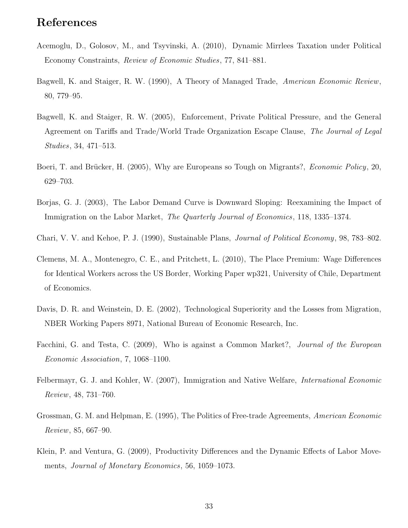## References

- Acemoglu, D., Golosov, M., and Tsyvinski, A. (2010), Dynamic Mirrlees Taxation under Political Economy Constraints, Review of Economic Studies, 77, 841–881.
- Bagwell, K. and Staiger, R. W. (1990), A Theory of Managed Trade, *American Economic Review*, 80, 779–95.
- Bagwell, K. and Staiger, R. W. (2005), Enforcement, Private Political Pressure, and the General Agreement on Tariffs and Trade/World Trade Organization Escape Clause, The Journal of Legal Studies, 34, 471–513.
- Boeri, T. and Brücker, H. (2005), Why are Europeans so Tough on Migrants?, *Economic Policy*, 20, 629–703.
- Borjas, G. J. (2003), The Labor Demand Curve is Downward Sloping: Reexamining the Impact of Immigration on the Labor Market, The Quarterly Journal of Economics, 118, 1335–1374.
- Chari, V. V. and Kehoe, P. J. (1990), Sustainable Plans, Journal of Political Economy, 98, 783–802.
- Clemens, M. A., Montenegro, C. E., and Pritchett, L. (2010), The Place Premium: Wage Differences for Identical Workers across the US Border, Working Paper wp321, University of Chile, Department of Economics.
- Davis, D. R. and Weinstein, D. E. (2002), Technological Superiority and the Losses from Migration, NBER Working Papers 8971, National Bureau of Economic Research, Inc.
- Facchini, G. and Testa, C. (2009), Who is against a Common Market?, *Journal of the European* Economic Association, 7, 1068–1100.
- Felbermayr, G. J. and Kohler, W. (2007), Immigration and Native Welfare, International Economic Review, 48, 731–760.
- Grossman, G. M. and Helpman, E. (1995), The Politics of Free-trade Agreements, American Economic Review, 85, 667–90.
- Klein, P. and Ventura, G. (2009), Productivity Differences and the Dynamic Effects of Labor Movements, Journal of Monetary Economics, 56, 1059–1073.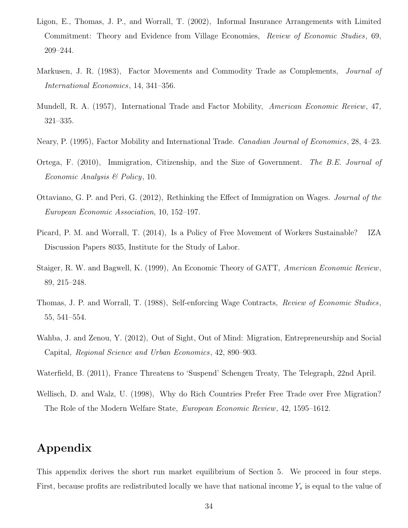- Ligon, E., Thomas, J. P., and Worrall, T. (2002), Informal Insurance Arrangements with Limited Commitment: Theory and Evidence from Village Economies, Review of Economic Studies, 69, 209–244.
- Markusen, J. R. (1983), Factor Movements and Commodity Trade as Complements, *Journal of* International Economics, 14, 341–356.
- Mundell, R. A. (1957), International Trade and Factor Mobility, American Economic Review, 47, 321–335.
- Neary, P. (1995), Factor Mobility and International Trade. Canadian Journal of Economics, 28, 4–23.
- Ortega, F. (2010), Immigration, Citizenship, and the Size of Government. The B.E. Journal of Economic Analysis & Policy, 10.
- Ottaviano, G. P. and Peri, G. (2012), Rethinking the Effect of Immigration on Wages. Journal of the European Economic Association, 10, 152–197.
- Picard, P. M. and Worrall, T. (2014), Is a Policy of Free Movement of Workers Sustainable? IZA Discussion Papers 8035, Institute for the Study of Labor.
- Staiger, R. W. and Bagwell, K. (1999), An Economic Theory of GATT, American Economic Review, 89, 215–248.
- Thomas, J. P. and Worrall, T. (1988), Self-enforcing Wage Contracts, Review of Economic Studies, 55, 541–554.
- Wahba, J. and Zenou, Y. (2012), Out of Sight, Out of Mind: Migration, Entrepreneurship and Social Capital, Regional Science and Urban Economics, 42, 890–903.
- Waterfield, B. (2011), France Threatens to 'Suspend' Schengen Treaty, The Telegraph, 22nd April.
- Wellisch, D. and Walz, U. (1998), Why do Rich Countries Prefer Free Trade over Free Migration? The Role of the Modern Welfare State, European Economic Review, 42, 1595–1612.

# Appendix

This appendix derives the short run market equilibrium of Section 5. We proceed in four steps. First, because profits are redistributed locally we have that national income  $Y_s$  is equal to the value of